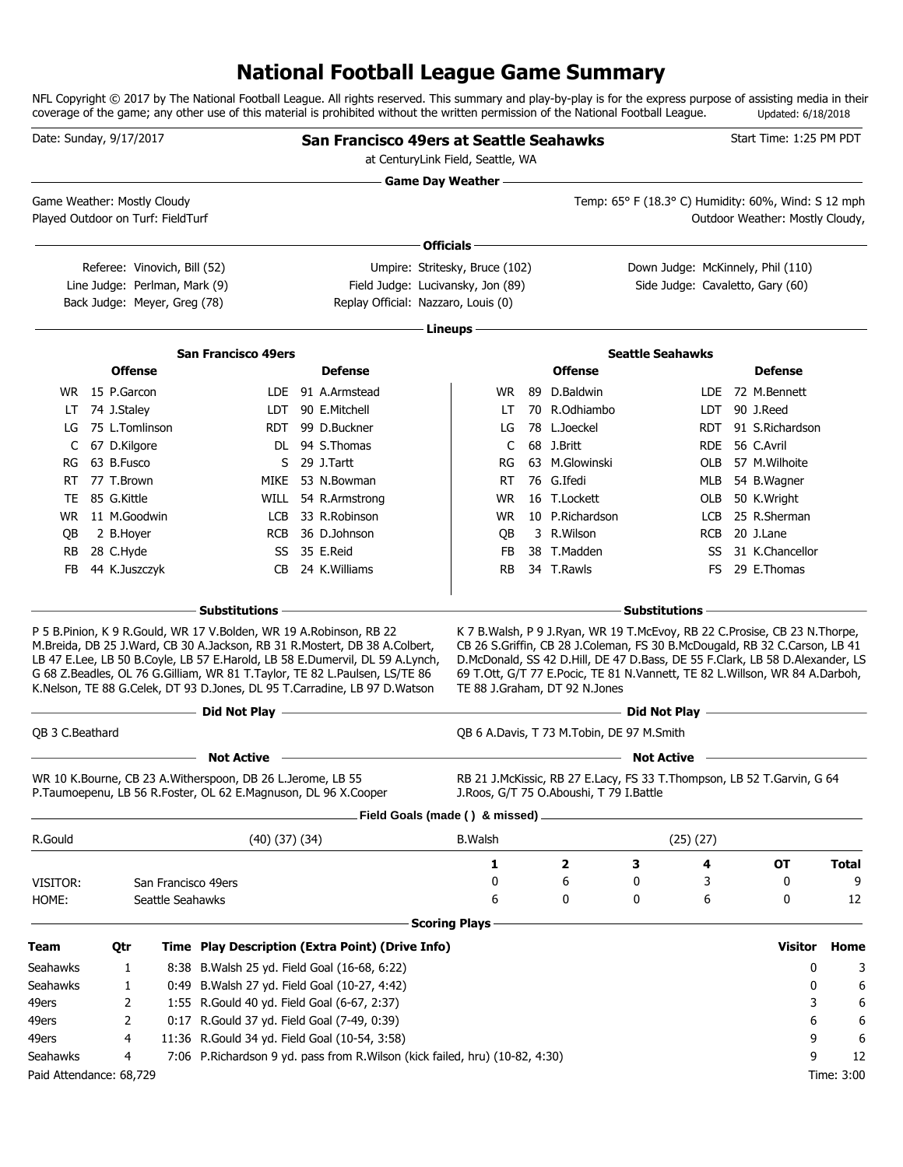# **National Football League Game Summary**

NFL Copyright © 2017 by The National Football League. All rights reserved. This summary and play-by-play is for the express purpose of assisting media in their coverage of the game; any other use of this material is prohibited without the written permission of the National Football League. Updated: 6/18/2018

|                         | Date: Sunday, 9/17/2017           |                     |                                                                                                                              | San Francisco 49ers at Seattle Seahawks                                                                                                                                                                                                                                                                               |                            |                                           |                                                                                                                                                                                                                                                                                                                             |                   | Start Time: 1:25 PM PDT         |              |
|-------------------------|-----------------------------------|---------------------|------------------------------------------------------------------------------------------------------------------------------|-----------------------------------------------------------------------------------------------------------------------------------------------------------------------------------------------------------------------------------------------------------------------------------------------------------------------|----------------------------|-------------------------------------------|-----------------------------------------------------------------------------------------------------------------------------------------------------------------------------------------------------------------------------------------------------------------------------------------------------------------------------|-------------------|---------------------------------|--------------|
|                         |                                   |                     |                                                                                                                              | at CenturyLink Field, Seattle, WA                                                                                                                                                                                                                                                                                     |                            |                                           |                                                                                                                                                                                                                                                                                                                             |                   |                                 |              |
|                         |                                   |                     |                                                                                                                              |                                                                                                                                                                                                                                                                                                                       | <b>Game Day Weather --</b> |                                           |                                                                                                                                                                                                                                                                                                                             |                   |                                 |              |
|                         | Game Weather: Mostly Cloudy       |                     |                                                                                                                              |                                                                                                                                                                                                                                                                                                                       |                            |                                           | Temp: 65° F (18.3° C) Humidity: 60%, Wind: S 12 mph                                                                                                                                                                                                                                                                         |                   |                                 |              |
|                         | Played Outdoor on Turf: FieldTurf |                     |                                                                                                                              |                                                                                                                                                                                                                                                                                                                       |                            |                                           |                                                                                                                                                                                                                                                                                                                             |                   | Outdoor Weather: Mostly Cloudy, |              |
|                         |                                   |                     |                                                                                                                              |                                                                                                                                                                                                                                                                                                                       | Officials -                |                                           |                                                                                                                                                                                                                                                                                                                             |                   |                                 |              |
|                         | Referee: Vinovich, Bill (52)      |                     |                                                                                                                              | Umpire: Stritesky, Bruce (102)                                                                                                                                                                                                                                                                                        |                            |                                           | Down Judge: McKinnely, Phil (110)                                                                                                                                                                                                                                                                                           |                   |                                 |              |
|                         | Line Judge: Perlman, Mark (9)     |                     |                                                                                                                              | Field Judge: Lucivansky, Jon (89)                                                                                                                                                                                                                                                                                     |                            |                                           | Side Judge: Cavaletto, Gary (60)                                                                                                                                                                                                                                                                                            |                   |                                 |              |
|                         | Back Judge: Meyer, Greg (78)      |                     |                                                                                                                              | Replay Official: Nazzaro, Louis (0)                                                                                                                                                                                                                                                                                   |                            |                                           |                                                                                                                                                                                                                                                                                                                             |                   |                                 |              |
|                         |                                   |                     |                                                                                                                              |                                                                                                                                                                                                                                                                                                                       | Lineups -                  |                                           |                                                                                                                                                                                                                                                                                                                             |                   |                                 |              |
|                         |                                   |                     | <b>San Francisco 49ers</b>                                                                                                   |                                                                                                                                                                                                                                                                                                                       |                            |                                           | <b>Seattle Seahawks</b>                                                                                                                                                                                                                                                                                                     |                   |                                 |              |
|                         | <b>Offense</b>                    |                     |                                                                                                                              | <b>Defense</b>                                                                                                                                                                                                                                                                                                        |                            | <b>Offense</b>                            |                                                                                                                                                                                                                                                                                                                             |                   | <b>Defense</b>                  |              |
|                         | WR 15 P.Garcon                    |                     |                                                                                                                              | LDE 91 A.Armstead                                                                                                                                                                                                                                                                                                     | WR.                        | 89 D.Baldwin                              |                                                                                                                                                                                                                                                                                                                             | LDE.              | 72 M.Bennett                    |              |
| LT                      | 74 J.Staley                       |                     |                                                                                                                              | LDT 90 E.Mitchell                                                                                                                                                                                                                                                                                                     | LT                         | 70 R.Odhiambo                             |                                                                                                                                                                                                                                                                                                                             | LDT               | 90 J.Reed                       |              |
| LG                      | 75 L.Tomlinson                    |                     | RDT                                                                                                                          | 99 D.Buckner<br>DL 94 S.Thomas                                                                                                                                                                                                                                                                                        | LG                         | 78 L.Joeckel<br>68 J.Britt                |                                                                                                                                                                                                                                                                                                                             | <b>RDT</b>        | 91 S.Richardson<br>56 C.Avril   |              |
| C                       | 67 D.Kilgore<br>63 B.Fusco        |                     |                                                                                                                              | S 29 J.Tartt                                                                                                                                                                                                                                                                                                          | C<br>RG                    | 63 M.Glowinski                            |                                                                                                                                                                                                                                                                                                                             | <b>RDE</b><br>OLB | 57 M.Wilhoite                   |              |
| RG<br>RT                | 77 T.Brown                        |                     | MIKE                                                                                                                         | 53 N.Bowman                                                                                                                                                                                                                                                                                                           | RT                         | 76 G.Ifedi                                |                                                                                                                                                                                                                                                                                                                             |                   | 54 B. Wagner                    |              |
| TE.                     | 85 G.Kittle                       |                     |                                                                                                                              | WILL 54 R.Armstrong                                                                                                                                                                                                                                                                                                   | <b>WR</b>                  | 16 T.Lockett                              |                                                                                                                                                                                                                                                                                                                             | MLB<br>OLB        | 50 K.Wright                     |              |
| WR                      | 11 M.Goodwin                      |                     | LCB                                                                                                                          | 33 R.Robinson                                                                                                                                                                                                                                                                                                         | <b>WR</b>                  | 10 P.Richardson                           |                                                                                                                                                                                                                                                                                                                             | LCB               | 25 R.Sherman                    |              |
| QB                      | 2 B.Hoyer                         |                     | <b>RCB</b>                                                                                                                   | 36 D.Johnson                                                                                                                                                                                                                                                                                                          | QB                         | 3 R.Wilson                                |                                                                                                                                                                                                                                                                                                                             | <b>RCB</b>        | 20 J.Lane                       |              |
| RB                      | 28 C.Hyde                         |                     | SS                                                                                                                           | 35 E.Reid                                                                                                                                                                                                                                                                                                             | FB                         | 38 T.Madden                               |                                                                                                                                                                                                                                                                                                                             | SS                | 31 K.Chancellor                 |              |
| FB                      | 44 K.Juszczyk                     |                     | CB                                                                                                                           | 24 K.Williams                                                                                                                                                                                                                                                                                                         | RB                         | 34 T.Rawls                                |                                                                                                                                                                                                                                                                                                                             | FS.               | 29 E.Thomas                     |              |
|                         |                                   |                     |                                                                                                                              |                                                                                                                                                                                                                                                                                                                       |                            |                                           |                                                                                                                                                                                                                                                                                                                             |                   |                                 |              |
|                         |                                   |                     | <b>Substitutions</b>                                                                                                         |                                                                                                                                                                                                                                                                                                                       |                            |                                           | <b>Substitutions</b>                                                                                                                                                                                                                                                                                                        |                   |                                 |              |
|                         |                                   |                     | P 5 B.Pinion, K 9 R.Gould, WR 17 V.Bolden, WR 19 A.Robinson, RB 22                                                           | M.Breida, DB 25 J.Ward, CB 30 A.Jackson, RB 31 R.Mostert, DB 38 A.Colbert,<br>LB 47 E.Lee, LB 50 B.Coyle, LB 57 E.Harold, LB 58 E.Dumervil, DL 59 A.Lynch,<br>G 68 Z.Beadles, OL 76 G.Gilliam, WR 81 T.Taylor, TE 82 L.Paulsen, LS/TE 86<br>K.Nelson, TE 88 G.Celek, DT 93 D.Jones, DL 95 T.Carradine, LB 97 D.Watson |                            | TE 88 J.Graham, DT 92 N.Jones             | K 7 B. Walsh, P 9 J. Ryan, WR 19 T. McEvoy, RB 22 C. Prosise, CB 23 N. Thorpe,<br>CB 26 S.Griffin, CB 28 J.Coleman, FS 30 B.McDougald, RB 32 C.Carson, LB 41<br>D.McDonald, SS 42 D.Hill, DE 47 D.Bass, DE 55 F.Clark, LB 58 D.Alexander, LS<br>69 T.Ott, G/T 77 E.Pocic, TE 81 N.Vannett, TE 82 L.Willson, WR 84 A.Darboh, |                   |                                 |              |
|                         |                                   |                     | - Did Not Play -                                                                                                             |                                                                                                                                                                                                                                                                                                                       |                            |                                           | $-$ Did Not Play $-$                                                                                                                                                                                                                                                                                                        |                   |                                 |              |
| QB 3 C.Beathard         |                                   |                     |                                                                                                                              |                                                                                                                                                                                                                                                                                                                       |                            | QB 6 A.Davis, T 73 M.Tobin, DE 97 M.Smith |                                                                                                                                                                                                                                                                                                                             |                   |                                 |              |
|                         |                                   |                     | <b>Not Active</b>                                                                                                            |                                                                                                                                                                                                                                                                                                                       |                            |                                           | <b>Not Active</b>                                                                                                                                                                                                                                                                                                           |                   |                                 |              |
|                         |                                   |                     | WR 10 K.Bourne, CB 23 A.Witherspoon, DB 26 L.Jerome, LB 55<br>P.Taumoepenu, LB 56 R.Foster, OL 62 E.Magnuson, DL 96 X.Cooper |                                                                                                                                                                                                                                                                                                                       |                            | J.Roos, G/T 75 O.Aboushi, T 79 I.Battle   | RB 21 J.McKissic, RB 27 E.Lacy, FS 33 T.Thompson, LB 52 T.Garvin, G 64                                                                                                                                                                                                                                                      |                   |                                 |              |
|                         |                                   |                     |                                                                                                                              | Field Goals (made () & missed)                                                                                                                                                                                                                                                                                        |                            |                                           |                                                                                                                                                                                                                                                                                                                             |                   |                                 |              |
| R.Gould                 |                                   |                     | $(40)$ $(37)$ $(34)$                                                                                                         |                                                                                                                                                                                                                                                                                                                       | <b>B.Walsh</b>             |                                           | $(25)$ $(27)$                                                                                                                                                                                                                                                                                                               |                   |                                 |              |
|                         |                                   |                     |                                                                                                                              |                                                                                                                                                                                                                                                                                                                       | 1                          | $\overline{\mathbf{2}}$                   | 3                                                                                                                                                                                                                                                                                                                           | 4                 | ОT                              | <b>Total</b> |
| VISITOR:                |                                   | San Francisco 49ers |                                                                                                                              |                                                                                                                                                                                                                                                                                                                       | 0                          | 6                                         | 0                                                                                                                                                                                                                                                                                                                           | 3                 | 0                               | 9            |
| HOME:                   |                                   | Seattle Seahawks    |                                                                                                                              |                                                                                                                                                                                                                                                                                                                       | 6                          | 0                                         | 0                                                                                                                                                                                                                                                                                                                           | 6                 | 0                               | 12           |
|                         |                                   |                     |                                                                                                                              |                                                                                                                                                                                                                                                                                                                       | <b>Scoring Plays</b>       |                                           |                                                                                                                                                                                                                                                                                                                             |                   |                                 |              |
| Team                    | Qtr                               |                     |                                                                                                                              | Time Play Description (Extra Point) (Drive Info)                                                                                                                                                                                                                                                                      |                            |                                           |                                                                                                                                                                                                                                                                                                                             |                   | <b>Visitor</b>                  | Home         |
| Seahawks                | 1                                 |                     | 8:38 B. Walsh 25 yd. Field Goal (16-68, 6:22)                                                                                |                                                                                                                                                                                                                                                                                                                       |                            |                                           |                                                                                                                                                                                                                                                                                                                             |                   | 0                               | 3            |
| Seahawks                | 1                                 |                     | 0:49 B. Walsh 27 yd. Field Goal (10-27, 4:42)                                                                                |                                                                                                                                                                                                                                                                                                                       |                            |                                           |                                                                                                                                                                                                                                                                                                                             |                   | 0                               | 6            |
| 49ers                   | 2                                 |                     | 1:55 R.Gould 40 yd. Field Goal (6-67, 2:37)                                                                                  |                                                                                                                                                                                                                                                                                                                       |                            |                                           |                                                                                                                                                                                                                                                                                                                             |                   | 3                               | 6            |
| 49ers                   | 2                                 |                     | 0:17 R.Gould 37 yd. Field Goal (7-49, 0:39)                                                                                  |                                                                                                                                                                                                                                                                                                                       |                            |                                           |                                                                                                                                                                                                                                                                                                                             |                   | 6                               | 6            |
| 49ers                   | 4                                 |                     | 11:36 R.Gould 34 yd. Field Goal (10-54, 3:58)                                                                                |                                                                                                                                                                                                                                                                                                                       |                            |                                           |                                                                                                                                                                                                                                                                                                                             |                   | 9                               | 6            |
| Seahawks                | 4                                 |                     |                                                                                                                              | 7:06 P.Richardson 9 yd. pass from R.Wilson (kick failed, hru) (10-82, 4:30)                                                                                                                                                                                                                                           |                            |                                           |                                                                                                                                                                                                                                                                                                                             |                   | 9                               | 12           |
| Paid Attendance: 68,729 |                                   |                     |                                                                                                                              |                                                                                                                                                                                                                                                                                                                       |                            |                                           |                                                                                                                                                                                                                                                                                                                             |                   |                                 | Time: 3:00   |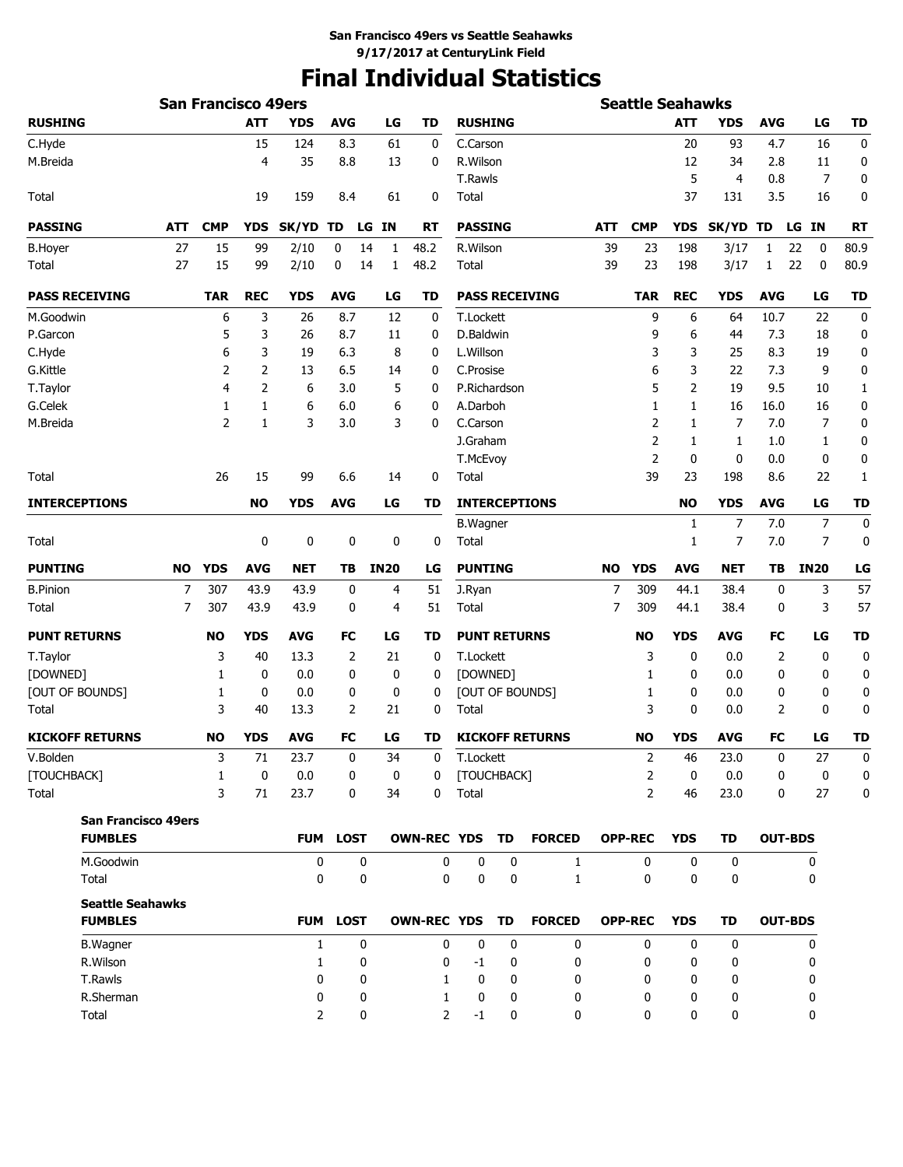# **Final Individual Statistics**

|                            |            | <b>San Francisco 49ers</b> |            |                |                 |                 |                    |                |                     |           |                        |     | <b>Seattle Seahawks</b> |            |            |            |                 |                     |
|----------------------------|------------|----------------------------|------------|----------------|-----------------|-----------------|--------------------|----------------|---------------------|-----------|------------------------|-----|-------------------------|------------|------------|------------|-----------------|---------------------|
| <b>RUSHING</b>             |            |                            | <b>ATT</b> | <b>YDS</b>     | <b>AVG</b>      |                 | LG                 | <b>TD</b>      | <b>RUSHING</b>      |           |                        |     |                         | <b>ATT</b> | <b>YDS</b> | <b>AVG</b> | LG              | <b>TD</b>           |
| C.Hyde                     |            |                            | 15         | 124            | 8.3             |                 | 61                 | 0              | C.Carson            |           |                        |     |                         | 20         | 93         | 4.7        | 16              | 0                   |
| M.Breida                   |            |                            | 4          | 35             | 8.8             |                 | 13                 | 0              | R.Wilson            |           |                        |     |                         | 12         | 34         | 2.8        | 11              | 0                   |
|                            |            |                            |            |                |                 |                 |                    |                | <b>T.Rawls</b>      |           |                        |     |                         | 5          | 4          | 0.8        |                 | $\overline{7}$<br>0 |
| Total                      |            |                            | 19         | 159            | 8.4             |                 | 61                 | 0              | Total               |           |                        |     |                         | 37         | 131        | 3.5        | 16              | 0                   |
| <b>PASSING</b>             | <b>ATT</b> | <b>CMP</b>                 | <b>YDS</b> | SK/YD          | TD              | <b>IN</b><br>LG |                    | <b>RT</b>      | <b>PASSING</b>      |           |                        | ATT | <b>CMP</b>              | <b>YDS</b> | SK/YD TD   |            | <b>IN</b><br>LG | <b>RT</b>           |
| <b>B.Hoyer</b>             | 27         | 15                         | 99         | 2/10           | 0               | 14              | 48.2<br>1          |                | R.Wilson            |           |                        | 39  | 23                      | 198        | 3/17       | 1          | 22<br>0         | 80.9                |
| Total                      | 27         | 15                         | 99         | 2/10           | 0               | 14              | 48.2<br>1          |                | Total               |           |                        | 39  | 23                      | 198        | 3/17       | 1          | 22<br>0         | 80.9                |
| <b>PASS RECEIVING</b>      |            | <b>TAR</b>                 | <b>REC</b> | <b>YDS</b>     | <b>AVG</b>      |                 | <b>TD</b><br>LG    |                |                     |           | <b>PASS RECEIVING</b>  |     | <b>TAR</b>              | <b>REC</b> | <b>YDS</b> | <b>AVG</b> | LG              | <b>TD</b>           |
| M.Goodwin                  |            | 6                          | 3          | 26             | 8.7             |                 | 12                 | 0              | T.Lockett           |           |                        |     | 9                       | 6          | 64         | 10.7       | 22              | $\mathbf 0$         |
| P.Garcon                   |            | 5                          | 3          | 26             | 8.7             |                 | 11                 | 0              | D.Baldwin           |           |                        |     | 9                       | 6          | 44         | 7.3        | 18              | 0                   |
| C.Hyde                     |            | 6                          | 3          | 19             | 6.3             |                 | 8                  | 0              | L.Willson           |           |                        |     | 3                       | 3          | 25         | 8.3        | 19              | 0                   |
| G.Kittle                   |            | 2                          | 2          | 13             | 6.5             |                 | 14                 | 0              | C.Prosise           |           |                        |     | 6                       | 3          | 22         | 7.3        |                 | 9<br>0              |
| T.Taylor                   |            | 4                          | 2          | 6              | 3.0             |                 | 5                  | 0              | P.Richardson        |           |                        |     | 5                       | 2          | 19         | 9.5        | 10              | 1                   |
| G.Celek                    |            | 1                          | 1          | 6              | 6.0             |                 | 6                  | 0              | A.Darboh            |           |                        |     | 1                       | 1          | 16         | 16.0       | 16              | 0                   |
| M.Breida                   |            | $\overline{2}$             | 1          | 3              | 3.0             |                 | 3                  | 0              | C.Carson            |           |                        |     | $\overline{2}$          | 1          | 7          | 7.0        |                 | 7<br>0              |
|                            |            |                            |            |                |                 |                 |                    |                | J.Graham            |           |                        |     | $\overline{2}$          | 1          | 1          | 1.0        |                 | 1<br>0              |
|                            |            |                            |            |                |                 |                 |                    |                | T.McEvoy            |           |                        |     | $\overline{2}$          | 0          | 0          | 0.0        |                 | 0<br>0              |
| Total                      |            | 26                         | 15         | 99             | 6.6             |                 | 14                 | 0              | Total               |           |                        |     | 39                      | 23         | 198        | 8.6        | 22              | 1                   |
| <b>INTERCEPTIONS</b>       |            |                            | <b>NO</b>  | <b>YDS</b>     | <b>AVG</b>      |                 | LG                 | TD             |                     |           | <b>INTERCEPTIONS</b>   |     |                         | <b>NO</b>  | <b>YDS</b> | <b>AVG</b> | LG              | <b>TD</b>           |
|                            |            |                            |            |                |                 |                 |                    |                | <b>B.Wagner</b>     |           |                        |     |                         | 1          | 7          | 7.0        |                 | 7<br>0              |
| Total                      |            |                            | 0          | 0              | 0               |                 | 0                  | 0              | Total               |           |                        |     |                         | 1          | 7          | 7.0        |                 | $\overline{7}$<br>0 |
| <b>PUNTING</b>             | NO         | <b>YDS</b>                 | <b>AVG</b> | <b>NET</b>     | TB              | <b>IN20</b>     |                    | LG             | <b>PUNTING</b>      |           |                        | NO. | <b>YDS</b>              | <b>AVG</b> | <b>NET</b> | TΒ         | <b>IN20</b>     | LG                  |
| <b>B.Pinion</b>            | 7          | 307                        | 43.9       | 43.9           | 0               |                 | 4                  | 51             | J.Ryan              |           |                        | 7   | 309                     | 44.1       | 38.4       | 0          |                 | 3<br>57             |
| Total                      | 7          | 307                        | 43.9       | 43.9           | 0               |                 | 4                  | 51             | Total               |           |                        | 7   | 309                     | 44.1       | 38.4       | 0          |                 | 3<br>57             |
| <b>PUNT RETURNS</b>        |            | NO                         | <b>YDS</b> | <b>AVG</b>     | FC              |                 | LG                 | TD             | <b>PUNT RETURNS</b> |           |                        |     | <b>NO</b>               | <b>YDS</b> | <b>AVG</b> | FC         | LG              | <b>TD</b>           |
| T.Taylor                   |            | 3                          | 40         | 13.3           | 2               |                 | 21                 | 0              | T.Lockett           |           |                        |     | 3                       | 0          | 0.0        | 2          |                 | $\mathbf 0$<br>0    |
| [DOWNED]                   |            | 1                          | 0          | 0.0            | 0               |                 | 0                  | 0              | [DOWNED]            |           |                        |     | 1                       | 0          | 0.0        | 0          |                 | 0<br>0              |
| [OUT OF BOUNDS]            |            | 1                          | 0          | 0.0            | 0               |                 | 0                  | 0              |                     |           | [OUT OF BOUNDS]        |     | 1                       | 0          | 0.0        | 0          |                 | 0<br>0              |
| Total                      |            | 3                          | 40         | 13.3           | 2               |                 | 21                 | 0              | Total               |           |                        |     | 3                       | 0          | 0.0        | 2          |                 | 0<br>0              |
| <b>KICKOFF RETURNS</b>     |            | <b>NO</b>                  | <b>YDS</b> | <b>AVG</b>     | <b>FC</b>       |                 | LG                 | TD             |                     |           | <b>KICKOFF RETURNS</b> |     | <b>NO</b>               | <b>YDS</b> | <b>AVG</b> | FC         | LG              | <b>TD</b>           |
| V.Bolden                   |            | 3                          | 71         | 23.7           | 0               |                 | 34                 | $\Omega$       | T.Lockett           |           |                        |     | 2                       | 46         | 23.0       | 0          | 27              | $\mathbf{0}$        |
| [TOUCHBACK]                |            | 1                          | 0          | 0.0            | 0               |                 | 0                  | 0              | [TOUCHBACK]         |           |                        |     | 2                       | 0          | 0.0        | 0          |                 | 0<br>0              |
| Total                      |            | 3                          | 71         | 23.7           | 0               |                 | 34                 | 0              | Total               |           |                        |     | $\overline{2}$          | 46         | 23.0       | 0          | 27              | $\mathbf 0$         |
| <b>San Francisco 49ers</b> |            |                            |            |                |                 |                 |                    |                |                     |           |                        |     |                         |            |            |            |                 |                     |
| <b>FUMBLES</b>             |            |                            |            |                | <b>FUM LOST</b> |                 | <b>OWN-REC YDS</b> |                |                     | <b>TD</b> | <b>FORCED</b>          |     | <b>OPP-REC</b>          | <b>YDS</b> | TD         |            | <b>OUT-BDS</b>  |                     |
| M.Goodwin                  |            |                            |            | 0              |                 | 0               |                    | 0              | 0                   | 0         | 1                      |     | 0                       | 0          | 0          |            | 0               |                     |
| Total                      |            |                            |            | 0              |                 | 0               |                    | 0              | 0                   | 0         | $\mathbf{1}$           |     | 0                       | 0          | 0          |            | 0               |                     |
| <b>Seattle Seahawks</b>    |            |                            |            |                |                 |                 |                    |                |                     |           |                        |     |                         |            |            |            |                 |                     |
| <b>FUMBLES</b>             |            |                            |            |                | FUM LOST        |                 |                    |                | OWN-REC YDS TD      |           | <b>FORCED</b>          |     | <b>OPP-REC</b>          | <b>YDS</b> | TD         |            | <b>OUT-BDS</b>  |                     |
| <b>B.Wagner</b>            |            |                            |            | $\mathbf{1}$   |                 | 0               |                    | 0              | $\mathbf 0$         | 0         | 0                      |     | $\mathbf{0}$            | 0          | 0          |            | 0               |                     |
| R.Wilson                   |            |                            |            | 1              |                 | 0               |                    | 0              | -1                  | 0         | 0                      |     | 0                       | 0          | 0          |            | 0               |                     |
| T.Rawls                    |            |                            |            | 0              |                 | 0               |                    | 1              | 0                   | 0         | 0                      |     | 0                       | 0          | 0          |            | 0               |                     |
| R.Sherman                  |            |                            |            | 0              |                 | 0               |                    | 1              | 0                   | 0         | 0                      |     | 0                       | 0          | 0          |            | 0               |                     |
| Total                      |            |                            |            | $\overline{2}$ |                 | 0               |                    | $\overline{2}$ | $^{\rm -1}$         | 0         | 0                      |     | 0                       | 0          | 0          |            | 0               |                     |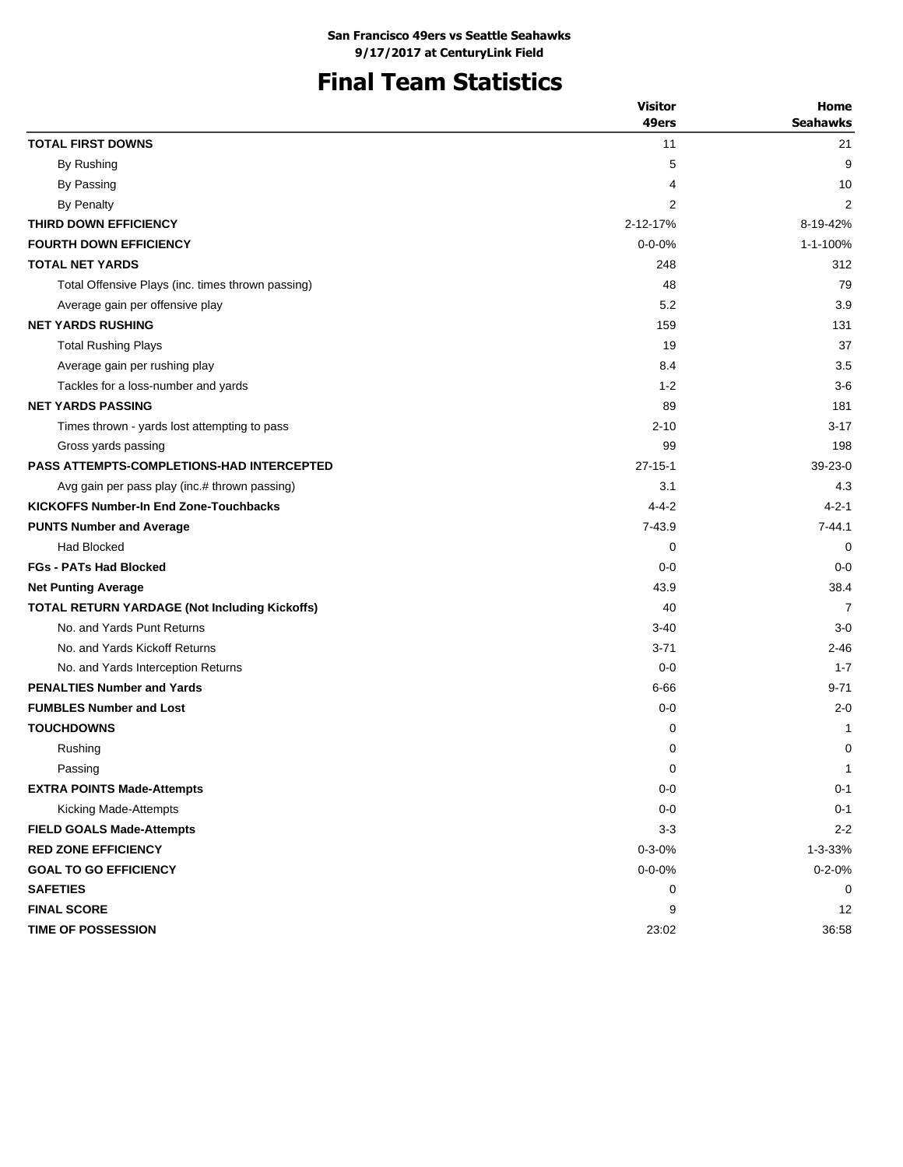# **Final Team Statistics**

|                                                      | <b>Visitor</b> | Home            |
|------------------------------------------------------|----------------|-----------------|
|                                                      | 49ers          | <b>Seahawks</b> |
| <b>TOTAL FIRST DOWNS</b>                             | 11             | 21              |
| By Rushing                                           | 5              | 9               |
| By Passing                                           | 4              | 10              |
| <b>By Penalty</b>                                    | 2              | $\overline{2}$  |
| THIRD DOWN EFFICIENCY                                | 2-12-17%       | 8-19-42%        |
| <b>FOURTH DOWN EFFICIENCY</b>                        | $0 - 0 - 0\%$  | 1-1-100%        |
| <b>TOTAL NET YARDS</b>                               | 248            | 312             |
| Total Offensive Plays (inc. times thrown passing)    | 48             | 79              |
| Average gain per offensive play                      | 5.2            | 3.9             |
| <b>NET YARDS RUSHING</b>                             | 159            | 131             |
| <b>Total Rushing Plays</b>                           | 19             | 37              |
| Average gain per rushing play                        | 8.4            | 3.5             |
| Tackles for a loss-number and yards                  | $1 - 2$        | $3-6$           |
| <b>NET YARDS PASSING</b>                             | 89             | 181             |
| Times thrown - yards lost attempting to pass         | $2 - 10$       | $3 - 17$        |
| Gross yards passing                                  | 99             | 198             |
| <b>PASS ATTEMPTS-COMPLETIONS-HAD INTERCEPTED</b>     | $27 - 15 - 1$  | $39-23-0$       |
| Avg gain per pass play (inc.# thrown passing)        | 3.1            | 4.3             |
| <b>KICKOFFS Number-In End Zone-Touchbacks</b>        | $4 - 4 - 2$    | $4 - 2 - 1$     |
| <b>PUNTS Number and Average</b>                      | $7 - 43.9$     | $7 - 44.1$      |
| <b>Had Blocked</b>                                   | 0              | 0               |
| <b>FGs - PATs Had Blocked</b>                        | $0 - 0$        | $0 - 0$         |
| <b>Net Punting Average</b>                           | 43.9           | 38.4            |
| <b>TOTAL RETURN YARDAGE (Not Including Kickoffs)</b> | 40             | 7               |
| No. and Yards Punt Returns                           | $3 - 40$       | $3-0$           |
| No. and Yards Kickoff Returns                        | $3 - 71$       | $2 - 46$        |
| No. and Yards Interception Returns                   | $0 - 0$        | $1 - 7$         |
| <b>PENALTIES Number and Yards</b>                    | 6-66           | $9 - 71$        |
| <b>FUMBLES Number and Lost</b>                       | $0 - 0$        | $2 - 0$         |
| <b>TOUCHDOWNS</b>                                    | 0              | 1               |
| Rushing                                              | 0              | 0               |
| Passing                                              | 0              | $\mathbf{1}$    |
| <b>EXTRA POINTS Made-Attempts</b>                    | $0-0$          | $0 - 1$         |
| Kicking Made-Attempts                                | $0 - 0$        | $0 - 1$         |
| <b>FIELD GOALS Made-Attempts</b>                     | $3 - 3$        | $2 - 2$         |
| <b>RED ZONE EFFICIENCY</b>                           | $0 - 3 - 0%$   | 1-3-33%         |
| <b>GOAL TO GO EFFICIENCY</b>                         | $0 - 0 - 0%$   | $0 - 2 - 0%$    |
| <b>SAFETIES</b>                                      | 0              | 0               |
| <b>FINAL SCORE</b>                                   | 9              | 12              |
| <b>TIME OF POSSESSION</b>                            | 23:02          | 36:58           |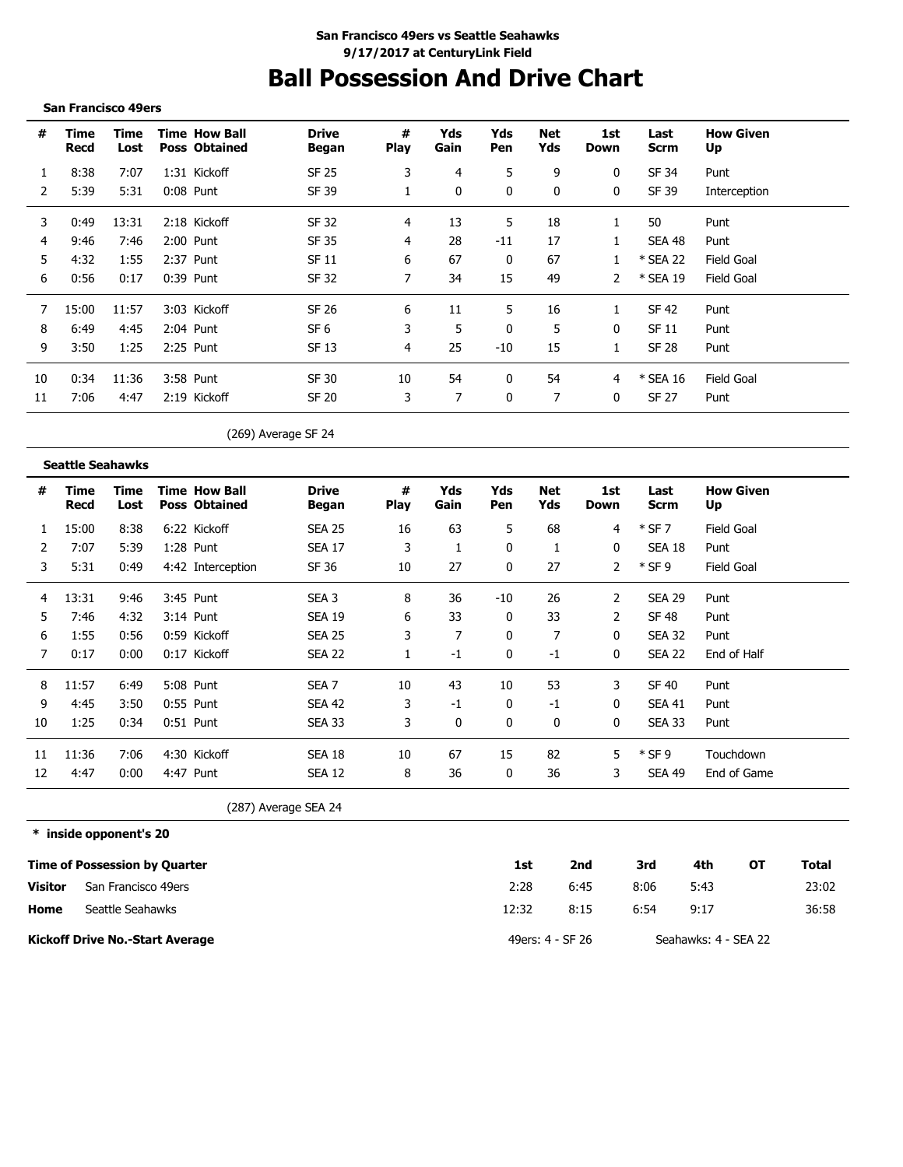# **Ball Possession And Drive Chart**

#### **San Francisco 49ers**

| #  | Time<br>Recd | Time<br>Lost | <b>Time How Ball</b><br><b>Poss Obtained</b> | <b>Drive</b><br>Began | #<br><b>Play</b> | Yds<br>Gain | Yds<br>Pen | Net<br>Yds   | 1st<br>Down  | Last<br>Scrm | <b>How Given</b><br>Up |
|----|--------------|--------------|----------------------------------------------|-----------------------|------------------|-------------|------------|--------------|--------------|--------------|------------------------|
|    | 8:38         | 7:07         | 1:31 Kickoff                                 | SF 25                 | 3                | 4           | 5          | 9            | 0            | SF 34        | Punt                   |
|    | 5:39         | 5:31         | $0:08$ Punt                                  | SF 39                 |                  | $\Omega$    | $\Omega$   | $\mathbf{0}$ | 0            | SF 39        | Interception           |
| 3  | 0:49         | 13:31        | 2:18 Kickoff                                 | SF 32                 | 4                | 13          | 5          | 18           |              | 50           | Punt                   |
| 4  | 9:46         | 7:46         | 2:00 Punt                                    | SF 35                 | 4                | 28          | $-11$      | 17           |              | SEA 48       | Punt                   |
| 5  | 4:32         | 1:55         | 2:37 Punt                                    | SF 11                 | 6                | 67          | 0          | 67           |              | * SEA 22     | <b>Field Goal</b>      |
| 6  | 0:56         | 0:17         | $0:39$ Punt                                  | SF 32                 |                  | 34          | 15         | 49           | 2            | * SEA 19     | Field Goal             |
|    | 15:00        | 11:57        | 3:03 Kickoff                                 | SF 26                 | 6                | 11          | 5.         | 16           |              | SF 42        | Punt                   |
| 8  | 6:49         | 4:45         | 2:04 Punt                                    | SF 6                  | 3                | 5           | 0          | 5            | 0            | SF 11        | Punt                   |
| 9  | 3:50         | 1:25         | 2:25 Punt                                    | SF 13                 | 4                | 25          | $-10$      | 15           |              | SF 28        | Punt                   |
| 10 | 0:34         | 11:36        | 3:58 Punt                                    | SF 30                 | 10               | 54          |            | 54           | 4            | * SEA 16     | Field Goal             |
| 11 | 7:06         | 4:47         | 2:19 Kickoff                                 | SF 20                 | 3                |             | $\Omega$   | 7            | $\mathbf{0}$ | SF 27        | Punt                   |

(269) Average SF 24

**Seattle Seahawks**

| #  | Time<br>Recd | Time<br>Lost |             | <b>Time How Ball</b><br><b>Poss Obtained</b> | <b>Drive</b><br>Began | #<br><b>Play</b> | Yds<br>Gain | Yds<br>Pen   | Net<br>Yds | 1st<br>Down  | Last<br><b>Scrm</b> | <b>How Given</b><br>Up |
|----|--------------|--------------|-------------|----------------------------------------------|-----------------------|------------------|-------------|--------------|------------|--------------|---------------------|------------------------|
|    | 15:00        | 8:38         |             | 6:22 Kickoff                                 | <b>SEA 25</b>         | 16               | 63          | 5            | 68         | 4            | $*$ SF 7            | Field Goal             |
| 2  | 7:07         | 5:39         | 1:28 Punt   |                                              | <b>SEA 17</b>         | 3                |             | 0            |            | 0            | SEA 18              | Punt                   |
| 3  | 5:31         | 0:49         |             | 4:42 Interception                            | SF 36                 | 10               | 27          | $\mathbf{0}$ | 27         | 2            | $*$ SF 9            | Field Goal             |
| 4  | 13:31        | 9:46         |             | 3:45 Punt                                    | SEA 3                 | 8                | 36          | -10          | 26         | 2            | <b>SEA 29</b>       | Punt                   |
| 5. | 7:46         | 4:32         |             | $3:14$ Punt                                  | <b>SEA 19</b>         | 6                | 33          | 0            | 33         | 2            | SF 48               | Punt                   |
| 6  | 1:55         | 0:56         |             | 0:59 Kickoff                                 | <b>SEA 25</b>         | 3                | 7           | 0            | 7          | $\mathbf{0}$ | <b>SEA 32</b>       | Punt                   |
| 7  | 0:17         | 0:00         |             | 0:17 Kickoff                                 | <b>SEA 22</b>         |                  | $-1$        | 0            | $-1$       | 0            | <b>SEA 22</b>       | End of Half            |
| 8  | 11:57        | 6:49         |             | 5:08 Punt                                    | SEA <sub>7</sub>      | 10               | 43          | 10           | 53         | 3            | <b>SF 40</b>        | Punt                   |
| 9  | 4:45         | 3:50         | $0:55$ Punt |                                              | <b>SEA 42</b>         | 3                | $-1$        | 0            | $-1$       | $\mathbf{0}$ | SEA 41              | Punt                   |
| 10 | 1:25         | 0:34         | $0:51$ Punt |                                              | <b>SEA 33</b>         | 3                | 0           | 0            | 0          | 0            | <b>SEA 33</b>       | Punt                   |
| 11 | 11:36        | 7:06         |             | 4:30 Kickoff                                 | <b>SEA 18</b>         | 10               | 67          | 15           | 82         | 5            | $*$ SF 9            | Touchdown              |
| 12 | 4:47         | 0:00         | 4:47 Punt   |                                              | <b>SEA 12</b>         | 8                | 36          | 0            | 36         | 3            | SEA 49              | End of Game            |

(287) Average SEA 24

**\* inside opponent's 20**

|         | <b>Time of Possession by Quarter</b>   | 1st   | 2nd              | 3rd  | 4th                  | ΟТ | Total |
|---------|----------------------------------------|-------|------------------|------|----------------------|----|-------|
| Visitor | San Francisco 49ers                    | 2:28  | 6:45             | 8:06 | 5:43                 |    | 23:02 |
| Home    | Seattle Seahawks                       | 12:32 | 8:15             | 6:54 | 9:17                 |    | 36:58 |
|         | <b>Kickoff Drive No.-Start Average</b> |       | 49ers: 4 - SF 26 |      | Seahawks: 4 - SEA 22 |    |       |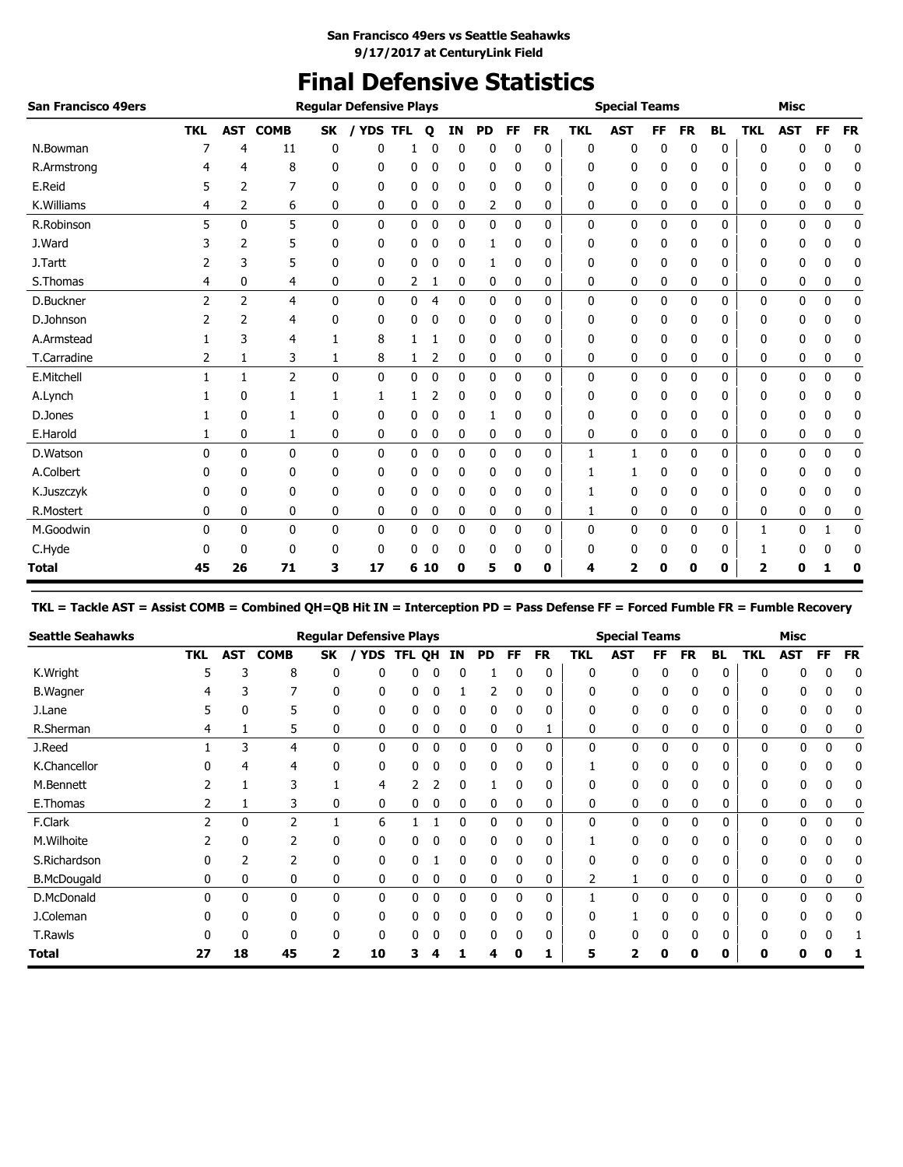# **Final Defensive Statistics**

| <b>San Francisco 49ers</b> |            |                |                |              | <b>Regular Defensive Plays</b> |              |              |    |           |              |           |            | <b>Special Teams</b> |           |           |           |            | <b>Misc</b> |           |             |
|----------------------------|------------|----------------|----------------|--------------|--------------------------------|--------------|--------------|----|-----------|--------------|-----------|------------|----------------------|-----------|-----------|-----------|------------|-------------|-----------|-------------|
|                            | <b>TKL</b> | <b>AST</b>     | <b>COMB</b>    | <b>SK</b>    | / YDS TFL                      |              | $\mathbf{o}$ | IN | <b>PD</b> | FF           | <b>FR</b> | <b>TKL</b> | <b>AST</b>           | <b>FF</b> | <b>FR</b> | <b>BL</b> | <b>TKL</b> | <b>AST</b>  | <b>FF</b> | <b>FR</b>   |
| N.Bowman                   |            | 4              | 11             | 0            | 0                              |              | 0            | 0  | 0         | 0            | 0         | 0          | 0                    | 0         | 0         | 0         | 0          | 0           | 0         | 0           |
| R.Armstrong                |            | 4              | 8              | 0            | 0                              | 0            | 0            | 0  | 0         | 0            | 0         | 0          | 0                    | 0         | 0         | 0         | 0          | 0           | 0         | 0           |
| E.Reid                     | 5          | 2              | 7              | 0            | 0                              | 0            | 0            | 0  | 0         | 0            | 0         | 0          | 0                    | 0         | 0         | 0         | 0          | 0           | 0         | 0           |
| K.Williams                 | 4          | 2              | 6              | 0            | 0                              | 0            | 0            | 0  | 2         | 0            | 0         | 0          | 0                    | 0         | 0         | 0         | 0          | 0           | 0         | 0           |
| R.Robinson                 | 5          | $\mathbf{0}$   | 5              | $\mathbf{0}$ | 0                              | 0            | 0            | 0  | 0         | $\mathbf{0}$ | 0         | 0          | 0                    | 0         | 0         | 0         | 0          | 0           | 0         | $\mathbf 0$ |
| J.Ward                     |            | 2              | 5              | 0            | 0                              | 0            | 0            | 0  | 1         | $\Omega$     | 0         | 0          | 0                    | 0         | 0         | 0         | 0          | 0           | 0         | 0           |
| J.Tartt                    |            | 3              | 5              | 0            | 0                              | 0            | 0            | 0  |           | 0            | 0         | 0          | 0                    | 0         | 0         | 0         | 0          | 0           | 0         | 0           |
| S.Thomas                   | 4          | 0              | 4              | 0            | 0                              | 2            | 1            | 0  | 0         | 0            | 0         | 0          | 0                    | 0         | 0         | 0         | 0          | 0           | 0         | 0           |
| D.Buckner                  | 2          | $\overline{2}$ | 4              | $\mathbf{0}$ | 0                              | 0            | 4            | 0  | 0         | $\mathbf{0}$ | 0         | 0          | 0                    | 0         | 0         | 0         | 0          | 0           | 0         | 0           |
| D.Johnson                  |            | 2              | 4              | 0            | 0                              | 0            | 0            | 0  | 0         | 0            | 0         | 0          | 0                    | 0         | 0         | 0         | 0          | 0           | 0         | 0           |
| A.Armstead                 |            | 3              | 4              |              | 8                              |              |              | 0  | 0         | 0            | 0         | 0          | 0                    | 0         | 0         | 0         | 0          | 0           | 0         | 0           |
| T.Carradine                | 2          | 1              | 3              | 1            | 8                              | 1            | 2            | 0  | 0         | 0            | 0         | 0          | 0                    | 0         | 0         | 0         | 0          | 0           | 0         | 0           |
| E.Mitchell                 |            | 1              | $\overline{2}$ | $\mathbf{0}$ | $\mathbf{0}$                   | $\mathbf{0}$ | 0            | 0  | 0         | 0            | 0         | 0          | 0                    | 0         | 0         | 0         | 0          | 0           | 0         | 0           |
| A.Lynch                    |            | 0              |                |              | 1                              |              |              | 0  | 0         | 0            | 0         | 0          | 0                    | 0         | 0         | 0         | 0          | 0           | 0         | 0           |
| D.Jones                    |            | $\mathbf{0}$   | 1              | $\mathbf{0}$ | 0                              | 0            | 0            | 0  | 1         | 0            | 0         | 0          | 0                    | 0         | 0         | 0         | 0          | 0           | 0         | 0           |
| E.Harold                   |            | 0              | 1              | 0            | 0                              | 0            | 0            | 0  | 0         | 0            | 0         | 0          | 0                    | 0         | 0         | 0         | 0          | 0           | 0         | 0           |
| D.Watson                   | 0          | $\mathbf{0}$   | 0              | 0            | 0                              | 0            | 0            | 0  | 0         | 0            | 0         | 1          | 1                    | 0         | 0         | 0         | 0          | 0           | 0         | 0           |
| A.Colbert                  |            | $\Omega$       | 0              | 0            | 0                              | 0            | 0            | 0  | 0         | 0            | 0         |            |                      | 0         | 0         | 0         | 0          | 0           | 0         | 0           |
| K.Juszczyk                 |            | 0              | 0              | 0            | 0                              | 0            | 0            | 0  | 0         | 0            | 0         |            | 0                    | 0         | 0         | 0         | 0          | 0           | 0         | 0           |
| R.Mostert                  | 0          | 0              | 0              | 0            | 0                              | 0            | 0            | 0  | 0         | 0            | 0         | 1          | 0                    | 0         | 0         | 0         | 0          | 0           | 0         | 0           |
| M.Goodwin                  | 0          | 0              | 0              | 0            | 0                              | 0            | 0            | 0  | 0         | 0            | 0         | 0          | 0                    | 0         | 0         | 0         | 1          | 0           | 1         | 0           |
| C.Hyde                     |            | $\mathbf{0}$   | 0              | 0            | 0                              | 0            | 0            | 0  | 0         | 0            | 0         | 0          | 0                    | 0         | 0         | 0         |            | 0           | 0         | 0           |
| <b>Total</b>               | 45         | 26             | 71             | 3            | 17                             | 6            | -10          | 0  | 5         | 0            | 0         | 4          | 2                    | 0         | 0         | 0         | 2          | 0           |           | 0           |

**TKL = Tackle AST = Assist COMB = Combined QH=QB Hit IN = Interception PD = Pass Defense FF = Forced Fumble FR = Fumble Recovery**

| <b>Seattle Seahawks</b> |            |              |             |           | <b>Regular Defensive Plays</b> |        |              |    |              |           |              |              | <b>Special Teams</b> |           |              |           |            | <b>Misc</b>  |              |           |
|-------------------------|------------|--------------|-------------|-----------|--------------------------------|--------|--------------|----|--------------|-----------|--------------|--------------|----------------------|-----------|--------------|-----------|------------|--------------|--------------|-----------|
|                         | <b>TKL</b> | <b>AST</b>   | <b>COMB</b> | <b>SK</b> | <b>YDS</b>                     | TFL QH |              | ΙN | PD           | <b>FF</b> | <b>FR</b>    | <b>TKL</b>   | <b>AST</b>           | <b>FF</b> | <b>FR</b>    | <b>BL</b> | <b>TKL</b> | <b>AST</b>   | FF           | <b>FR</b> |
| K.Wright                |            | 3            | 8           | 0         | 0                              | 0      | 0            |    |              | 0         | 0            | $\mathbf 0$  | 0                    | 0         | 0            | 0         | 0          |              | 0            | 0         |
| <b>B.Wagner</b>         |            |              |             | 0         | 0                              | 0      | 0            |    | 2            | 0         | 0            | 0            | 0                    | 0         | 0            | 0         | 0          |              | 0            |           |
| J.Lane                  |            | 0            | 5           | 0         | 0                              | 0      | 0            | 0  | 0            | 0         | 0            | 0            | 0                    | 0         | 0            | 0         | 0          |              |              |           |
| R.Sherman               | 4          |              | 5.          | 0         | 0                              | 0      | 0            | 0  | 0            | 0         |              | 0            | 0                    | 0         | 0            | 0         | 0          | 0            | 0            |           |
| J.Reed                  |            | 3            | 4           | 0         | $\mathbf{0}$                   | 0      | $\mathbf{0}$ | 0  | $\mathbf{0}$ | 0         | 0            | $\mathbf{0}$ | 0                    | 0         | $\mathbf{0}$ | 0         | 0          | <sup>0</sup> | $\mathbf{0}$ | 0         |
| K.Chancellor            |            | 4            | 4           | n         | 0                              | 0      | 0            | 0  | $\Omega$     | 0         | 0            |              | O                    | 0         | 0            | 0         |            |              | O            | 0         |
| M.Bennett               |            |              |             |           | 4                              |        |              |    |              |           | 0            | 0            | 0                    | 0         | 0            | 0         |            |              |              |           |
| E.Thomas                |            |              | 3           | 0         | 0                              | 0      | 0            | 0  | 0            |           | 0            | 0            | 0                    | 0         | 0            | 0         | 0          |              | 0            |           |
| F.Clark                 |            | 0            | C.          |           | 6                              |        |              | 0  | 0            | 0         | 0            | $\mathbf{0}$ | 0                    | 0         | 0            | 0         | 0          |              | 0            |           |
| M.Wilhoite              |            | 0            |             |           | $\mathbf{0}$                   | 0      |              | 0  | 0            | 0         | 0            |              |                      | 0         | 0            | 0         | 0          |              |              |           |
| S.Richardson            | 0          |              |             | 0         | 0                              | 0      |              | 0  | 0            | 0         | 0            | 0            | 0                    | 0         | 0            | 0         | 0          |              |              |           |
| <b>B.McDougald</b>      | 0          | 0            | 0           | 0         | 0                              | 0      | 0            | 0  | 0            | 0         | 0            | 2            |                      | 0         | 0            | 0         | 0          | 0            | 0            |           |
| D.McDonald              | 0          | $\mathbf{0}$ | 0           | 0         | 0                              | 0      | 0            | 0  | 0            | 0         | $\mathbf{0}$ |              | $\Omega$             | 0         | $\mathbf{0}$ | 0         | 0          | $\Omega$     | 0            | 0         |
| J.Coleman               |            | 0            | 0           | 0         | $\mathbf{0}$                   | 0      | 0            | 0  | 0            | 0         | 0            | 0            |                      | 0         | $\mathbf{0}$ | 0         | 0          |              | 0            |           |
| T.Rawls                 |            |              | 0           | O         | 0                              | 0      | 0            | 0  | 0            | 0         | 0            | 0            | 0                    | 0         | 0            | 0         | 0          |              |              |           |
| <b>Total</b>            | 27         | 18           | 45          | 2         | 10                             |        | Δ            |    | 4            | 0         |              | 5            |                      | Λ         | ŋ            | 0         | o          |              |              |           |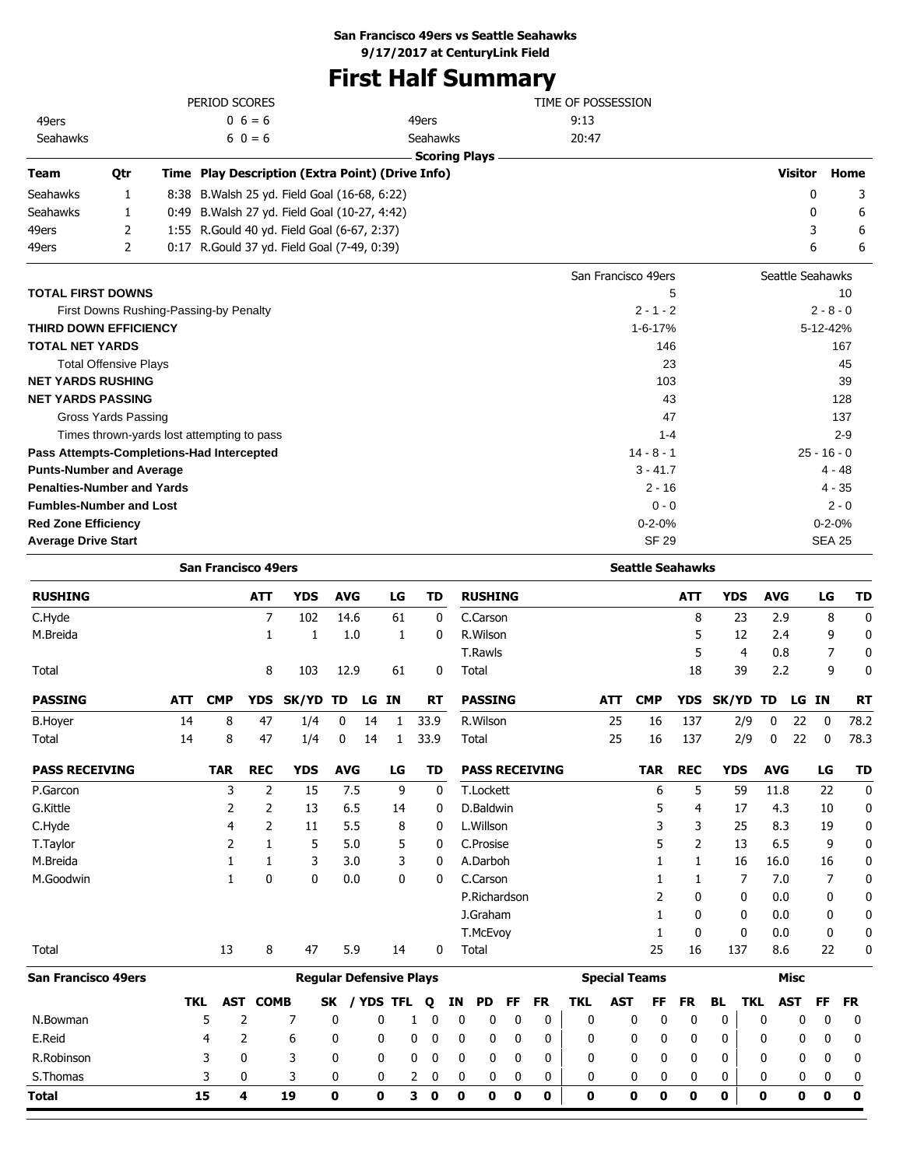## **San Francisco 49ers vs Seattle Seahawks**

**9/17/2017 at CenturyLink Field**

# **First Half Summary**

|                                   |                              | PERIOD SCORES                                    |            |            |    |              |                      | TIME OF POSSESSION      |            |                  |               |           |
|-----------------------------------|------------------------------|--------------------------------------------------|------------|------------|----|--------------|----------------------|-------------------------|------------|------------------|---------------|-----------|
| 49ers                             |                              | $0\;6=6$                                         |            |            |    | 49ers        |                      | 9:13                    |            |                  |               |           |
| Seahawks                          |                              | $60 = 6$                                         |            |            |    | Seahawks     |                      | 20:47                   |            |                  |               |           |
|                                   |                              |                                                  |            |            |    |              | <b>Scoring Plays</b> |                         |            |                  |               |           |
| <b>Team</b>                       | Qtr                          | Time Play Description (Extra Point) (Drive Info) |            |            |    |              |                      |                         |            | <b>Visitor</b>   |               | Home      |
| Seahawks                          | 1                            | 8:38 B. Walsh 25 yd. Field Goal (16-68, 6:22)    |            |            |    |              |                      |                         |            |                  | $\mathbf{0}$  | 3         |
| Seahawks                          | 1                            | 0:49 B. Walsh 27 yd. Field Goal (10-27, 4:42)    |            |            |    |              |                      |                         |            |                  | 0             | 6         |
| 49ers                             | 2                            | 1:55 R.Gould 40 yd. Field Goal (6-67, 2:37)      |            |            |    |              |                      |                         |            |                  | 3             | 6         |
| 49ers                             | 2                            | 0:17 R.Gould 37 yd. Field Goal (7-49, 0:39)      |            |            |    |              |                      |                         |            |                  | 6             | 6         |
|                                   |                              |                                                  |            |            |    |              |                      | San Francisco 49ers     |            | Seattle Seahawks |               |           |
| <b>TOTAL FIRST DOWNS</b>          |                              |                                                  |            |            |    |              |                      | 5                       |            |                  |               | 10        |
|                                   |                              | First Downs Rushing-Passing-by Penalty           |            |            |    |              |                      | $2 - 1 - 2$             |            |                  | $2 - 8 - 0$   |           |
| <b>THIRD DOWN EFFICIENCY</b>      |                              |                                                  |            |            |    |              |                      | 1-6-17%                 |            |                  | 5-12-42%      |           |
| <b>TOTAL NET YARDS</b>            |                              |                                                  |            |            |    |              |                      | 146                     |            |                  |               | 167       |
|                                   | <b>Total Offensive Plays</b> |                                                  |            |            |    |              |                      | 23                      |            |                  |               | 45        |
| <b>NET YARDS RUSHING</b>          |                              |                                                  |            |            |    |              |                      | 103                     |            |                  |               | 39        |
| <b>NET YARDS PASSING</b>          |                              |                                                  |            |            |    |              |                      | 43                      |            |                  |               | 128       |
|                                   | <b>Gross Yards Passing</b>   |                                                  |            |            |    |              |                      | 47                      |            |                  |               | 137       |
|                                   |                              | Times thrown-yards lost attempting to pass       |            |            |    |              |                      | $1 - 4$                 |            |                  |               | $2 - 9$   |
|                                   |                              | Pass Attempts-Completions-Had Intercepted        |            |            |    |              |                      | $14 - 8 - 1$            |            |                  | $25 - 16 - 0$ |           |
| <b>Punts-Number and Average</b>   |                              |                                                  |            |            |    |              |                      | $3 - 41.7$              |            |                  | 4 - 48        |           |
| <b>Penalties-Number and Yards</b> |                              |                                                  |            |            |    |              |                      | $2 - 16$                |            |                  | $4 - 35$      |           |
| <b>Fumbles-Number and Lost</b>    |                              |                                                  |            |            |    |              |                      | $0 - 0$                 |            |                  |               | $2 - 0$   |
| <b>Red Zone Efficiency</b>        |                              |                                                  |            |            |    |              |                      | $0 - 2 - 0%$            |            |                  | $0 - 2 - 0%$  |           |
| <b>Average Drive Start</b>        |                              |                                                  |            |            |    |              |                      | <b>SF 29</b>            |            |                  | <b>SEA 25</b> |           |
|                                   |                              | <b>San Francisco 49ers</b>                       |            |            |    |              |                      | <b>Seattle Seahawks</b> |            |                  |               |           |
| <b>RUSHING</b>                    |                              | <b>ATT</b>                                       | <b>YDS</b> | <b>AVG</b> | LG | <b>TD</b>    | <b>RUSHING</b>       | <b>ATT</b>              | <b>YDS</b> | <b>AVG</b>       | LG            | <b>TD</b> |
| C.Hyde                            |                              | 7                                                | 102        | 14.6       | 61 | 0            | C.Carson             | 8                       | 23         | 2.9              | 8             | 0         |
| M.Breida                          |                              | 1                                                | 1          | 1.0        | 1  | 0            | R.Wilson             | 5                       | 12         | 2.4              | 9             | 0         |
|                                   |                              |                                                  |            |            |    |              | T.Rawls              | 5                       | 4          | 0.8              | 7             | 0         |
| Total                             |                              | 8                                                | 103        | 12.9       | 61 | $\mathbf{0}$ | Total                | 18                      | 39         | 2.2              | 9             | 0         |

| <b>PASSING</b>             | <b>ATT</b> | <b>CMP</b> |                 | YDS SK/YD TD                   |              | LG         | IN   | <b>RT</b>    |    | <b>PASSING</b>   |   |              |                       |              | <b>ATT</b> | <b>CMP</b>           |              | YDS SK/YD TD |              |            | LG          | IN        | <b>RT</b> |
|----------------------------|------------|------------|-----------------|--------------------------------|--------------|------------|------|--------------|----|------------------|---|--------------|-----------------------|--------------|------------|----------------------|--------------|--------------|--------------|------------|-------------|-----------|-----------|
| <b>B.Hoyer</b>             | 14         | 8          | 47              | 1/4                            | $\mathbf{0}$ | 14         |      | 33.9         |    | R. Wilson        |   |              |                       |              | 25         | 16                   | 137          |              | 2/9          | 0          | 22          | 0         | 78.2      |
| Total                      | 14         | 8          | 47              | 1/4                            | 0            | 14         |      | 33.9         |    | Total            |   |              |                       |              | 25         | 16                   | 137          |              | 2/9          | 0          | 22          | 0         | 78.3      |
| <b>PASS RECEIVING</b>      |            | <b>TAR</b> | <b>REC</b>      | <b>YDS</b>                     | <b>AVG</b>   |            | LG   | TD           |    |                  |   |              | <b>PASS RECEIVING</b> |              |            | <b>TAR</b>           | <b>REC</b>   | <b>YDS</b>   |              | <b>AVG</b> |             | LG        | TD        |
| P.Garcon                   |            | 3          | 2               | 15                             | 7.5          |            | 9    |              | 0  | <b>T.Lockett</b> |   |              |                       |              |            | 6                    | 5            |              | 59           | 11.8       |             | 22        | 0         |
| G.Kittle                   |            | 2          | 2               | 13                             | 6.5          |            | 14   |              | 0  | D.Baldwin        |   |              |                       |              |            | 5                    | 4            |              | 17           | 4.3        |             | 10        | 0         |
| C.Hyde                     |            | 4          |                 | 11                             | 5.5          |            | 8    |              | 0  | L.Willson        |   |              |                       |              |            |                      | 3            |              | 25           | 8.3        |             | 19        | 0         |
| T.Taylor                   |            | 2          |                 | 5                              | 5.0          |            | 5    |              | 0  | C.Prosise        |   |              |                       |              |            | 5                    | 2            |              | 13           | 6.5        |             | 9         | 0         |
| M.Breida                   |            |            |                 | 3                              | 3.0          |            | 3    |              | 0  | A.Darboh         |   |              |                       |              |            |                      |              |              | 16           | 16.0       |             | 16        | 0         |
| M.Goodwin                  |            |            | 0               | 0                              | 0.0          |            | 0    |              | 0  | C.Carson         |   |              |                       |              |            |                      |              |              | 7            | 7.0        |             |           | 0         |
|                            |            |            |                 |                                |              |            |      |              |    | P.Richardson     |   |              |                       |              |            |                      | 0            |              | 0            | 0.0        |             | 0         | 0         |
|                            |            |            |                 |                                |              |            |      |              |    | J.Graham         |   |              |                       |              |            |                      | 0            |              | 0            | 0.0        |             | 0         | 0         |
|                            |            |            |                 |                                |              |            |      |              |    | T.McEvoy         |   |              |                       |              |            |                      | $\mathbf{0}$ |              | $\mathbf{0}$ | 0.0        |             | 0         | 0         |
| Total                      |            | 13         | 8               | 47                             | 5.9          |            | 14   |              | 0  | Total            |   |              |                       |              |            | 25                   | 16           | 137          |              | 8.6        |             | 22        | 0         |
| <b>San Francisco 49ers</b> |            |            |                 | <b>Regular Defensive Plays</b> |              |            |      |              |    |                  |   |              |                       |              |            | <b>Special Teams</b> |              |              |              |            | <b>Misc</b> |           |           |
|                            | <b>TKL</b> |            | <b>AST COMB</b> |                                | SK           | <b>YDS</b> | TFL. | $\mathbf{o}$ | ΙN | PD.              |   | <b>FF</b>    | FR                    | <b>TKL</b>   | <b>AST</b> | FF                   | <b>FR</b>    | <b>BL</b>    | TKL          |            | <b>AST</b>  | <b>FF</b> | <b>FR</b> |
| N.Bowman                   |            | 5          | 2               | 7                              | 0            |            | 0    |              | 0  | 0                | 0 | $\mathbf{0}$ | 0                     | $\mathbf{0}$ |            | 0<br>0               | 0            | 0            |              | 0          | 0           | 0         | 0         |
| E.Reid                     |            | 4          | 2               | 6                              | 0            |            | 0    | 0            | 0  | 0                | 0 | 0            | 0                     | 0            |            | 0<br>0               | 0            | 0            |              | 0          | 0           | 0         | 0         |
| R.Robinson                 |            | 3          | 0               | 3                              | $\mathbf{0}$ |            | 0    | 0            | 0  | 0                | 0 | 0            | 0                     | 0            |            | 0<br>0               | 0            | 0            |              | 0          | 0           | 0         | 0         |

S.Thomas 3 0 3 0 0 2 0 0 0 0 0 0 0 0 0 0 0 0 0 0 **Total 15 4 19 0 0 3 0 0 0 0 0 0 0 0 0 0 0 0 0 0**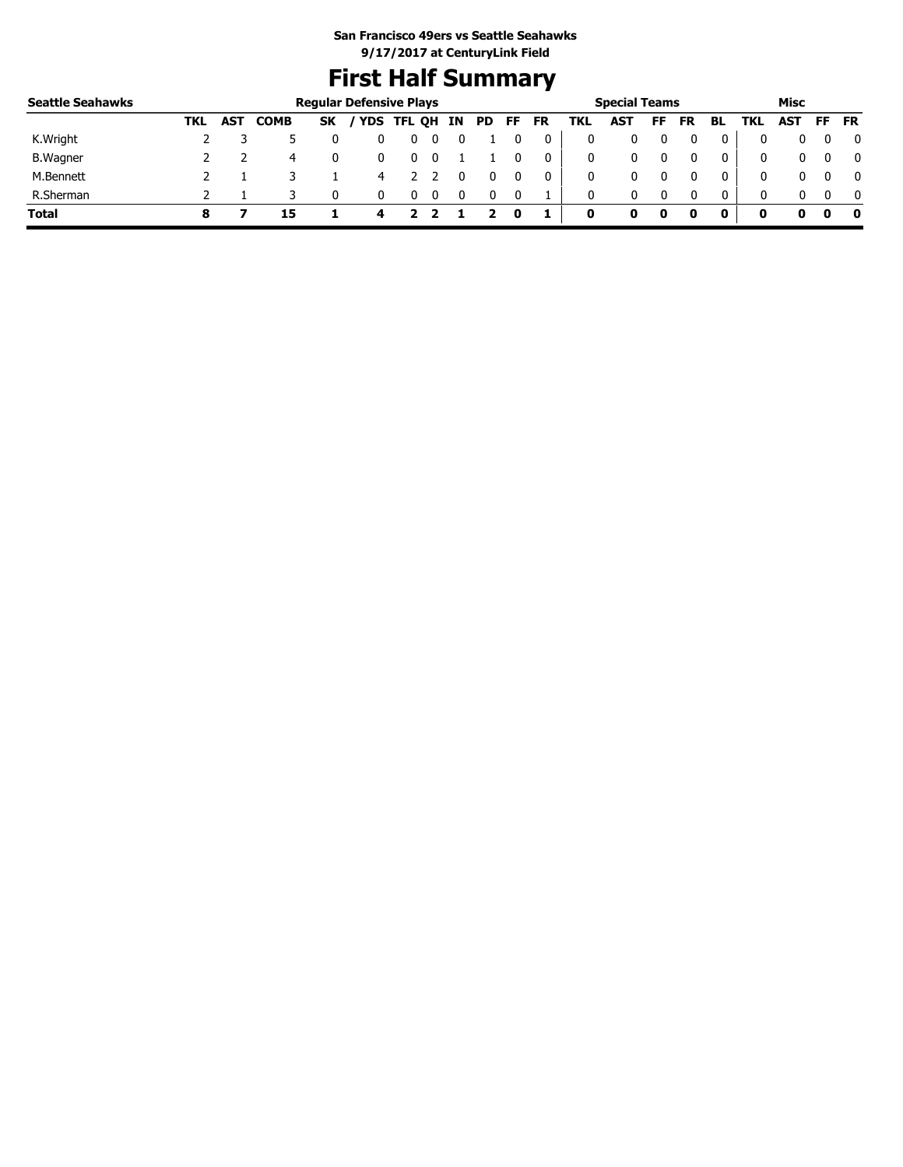# **First Half Summary**

| <b>Seattle Seahawks</b> |      |            |             |           | <b>Regular Defensive Plays</b> |   |    |    |    |    |     | <b>Special Teams</b> |    |    |    |            | Misc       |     |           |
|-------------------------|------|------------|-------------|-----------|--------------------------------|---|----|----|----|----|-----|----------------------|----|----|----|------------|------------|-----|-----------|
|                         | TKL. | <b>AST</b> | <b>COMB</b> | <b>SK</b> | / YDS TFL QH                   |   | IN | PD | FF | FR | TKL | <b>AST</b>           | FF | FR | BL | <b>TKL</b> | <b>AST</b> | FF. | <b>FR</b> |
| K.Wright                |      |            |             |           |                                | υ |    |    |    | 0  | 0   |                      |    |    | 0  |            |            |     | 0         |
| <b>B.</b> Wagner        |      |            | 4           |           |                                |   |    |    |    | 0  | 0   |                      |    |    | 0  |            |            |     | 0         |
| M.Bennett               |      |            |             |           | 4                              |   |    |    |    | 0  | 0   |                      |    |    | 0  |            |            |     | - 0       |
| R.Sherman               |      |            |             |           |                                |   |    |    |    |    | 0   |                      |    |    | 0  |            |            |     | - 0       |
| <b>Total</b>            |      |            | 15          |           | 4                              |   |    |    | o  |    | 0   | 0                    | o  |    |    | o          |            |     | 0         |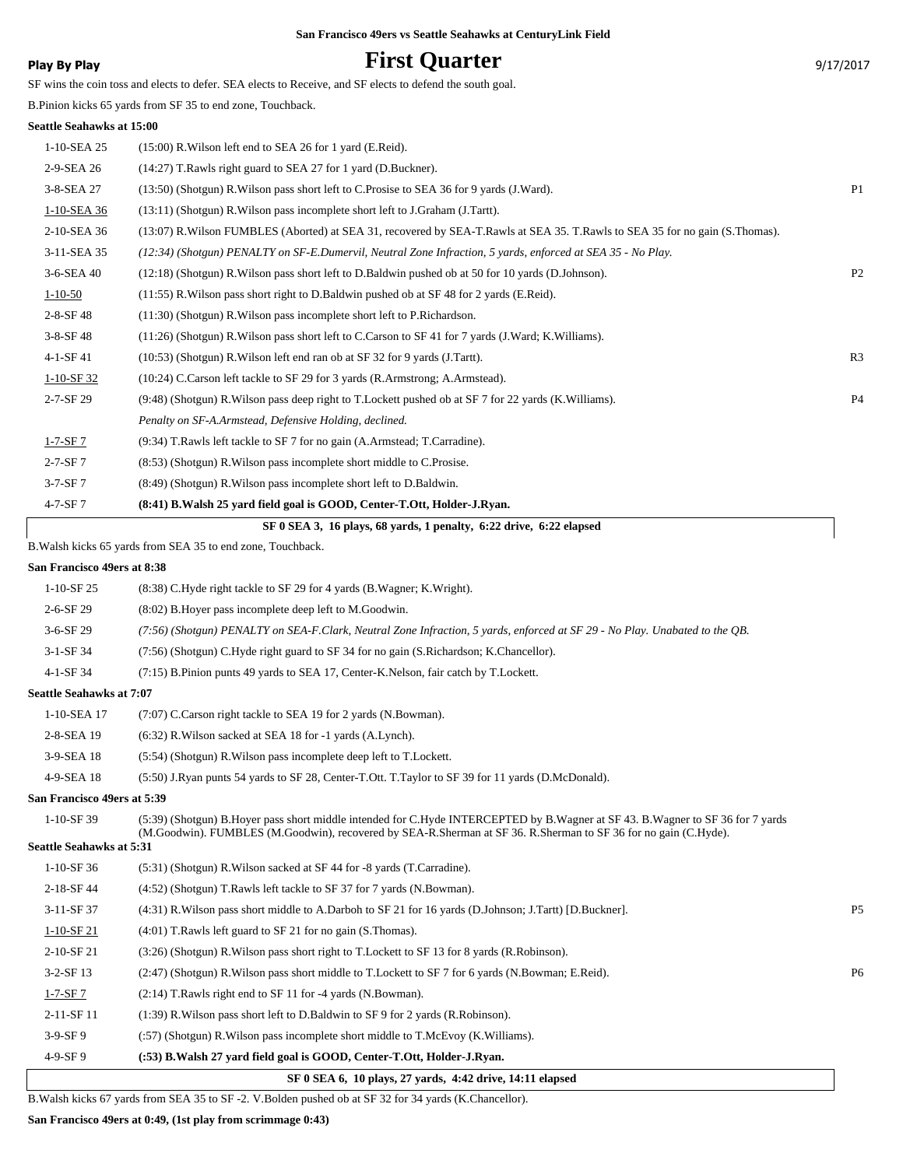## **Play By Play Play Play Play First Quarter First All Structure 10 and 17/2017** 9/17/2017

SF wins the coin toss and elects to defer. SEA elects to Receive, and SF elects to defend the south goal.

B.Pinion kicks 65 yards from SF 35 to end zone, Touchback.

### **Seattle Seahawks at 15:00**

|                 | SF 0 SEA 3, 16 plays, 68 yards, 1 penalty, 6:22 drive, 6:22 elapsed                                                             |                |
|-----------------|---------------------------------------------------------------------------------------------------------------------------------|----------------|
| $4 - 7 - SF7$   | (8:41) B. Walsh 25 yard field goal is GOOD, Center-T.Ott, Holder-J. Ryan.                                                       |                |
| $3-7-SF7$       | (8:49) (Shotgun) R. Wilson pass incomplete short left to D. Baldwin.                                                            |                |
| $2 - 7 - SF7$   | (8:53) (Shotgun) R. Wilson pass incomplete short middle to C. Prosise.                                                          |                |
| $1-7-SF7$       | (9:34) T. Rawls left tackle to SF 7 for no gain (A. Armstead; T. Carradine).                                                    |                |
|                 | Penalty on SF-A.Armstead, Defensive Holding, declined.                                                                          |                |
| 2-7-SF 29       | (9:48) (Shotgun) R. Wilson pass deep right to T. Lockett pushed ob at SF 7 for 22 yards (K. Williams).                          | <b>P4</b>      |
| $1-10-SF$ 32    | (10:24) C.Carson left tackle to SF 29 for 3 yards (R.Armstrong; A.Armstead).                                                    |                |
| 4-1-SF 41       | $(10:53)$ (Shotgun) R. Wilson left end ran ob at SF 32 for 9 yards (J. Tartt).                                                  | R <sub>3</sub> |
| $3-8-SF$ 48     | (11:26) (Shotgun) R. Wilson pass short left to C. Carson to SF 41 for 7 yards (J. Ward; K. Williams).                           |                |
| $2 - 8 - SF 48$ | (11:30) (Shotgun) R. Wilson pass incomplete short left to P. Richardson.                                                        |                |
| $1 - 10 - 50$   | $(11:55)$ R. Wilson pass short right to D. Baldwin pushed ob at SF 48 for 2 yards (E. Reid).                                    |                |
| 3-6-SEA 40      | (12:18) (Shotgun) R. Wilson pass short left to D. Baldwin pushed ob at 50 for 10 yards (D. Johnson).                            | P <sub>2</sub> |
| 3-11-SEA 35     | (12:34) (Shotgun) PENALTY on SF-E.Dumervil, Neutral Zone Infraction, 5 yards, enforced at SEA 35 - No Play.                     |                |
| 2-10-SEA 36     | (13:07) R. Wilson FUMBLES (Aborted) at SEA 31, recovered by SEA-T. Rawls at SEA 35. T. Rawls to SEA 35 for no gain (S. Thomas). |                |
| 1-10-SEA 36     | (13:11) (Shotgun) R. Wilson pass incomplete short left to J. Graham (J. Tartt).                                                 |                |
| 3-8-SEA 27      | (13:50) (Shotgun) R. Wilson pass short left to C. Prosise to SEA 36 for 9 yards (J. Ward).                                      | P <sub>1</sub> |
| 2-9-SEA 26      | (14:27) T.Rawls right guard to SEA 27 for 1 yard (D.Buckner).                                                                   |                |
| 1-10-SEA 25     | $(15:00)$ R. Wilson left end to SEA 26 for 1 yard (E. Reid).                                                                    |                |

B.Walsh kicks 65 yards from SEA 35 to end zone, Touchback.

### **San Francisco 49ers at 8:38**

|                                 | SF 0 SEA 6, 10 plays, 27 yards, 4:42 drive, 14:11 elapsed                                                                                                                                                                                         |                |
|---------------------------------|---------------------------------------------------------------------------------------------------------------------------------------------------------------------------------------------------------------------------------------------------|----------------|
| $4-9-SF9$                       | (:53) B. Walsh 27 yard field goal is GOOD, Center-T.Ott, Holder-J. Ryan.                                                                                                                                                                          |                |
| $3-9-SF9$                       | (:57) (Shotgun) R. Wilson pass incomplete short middle to T. McEvoy (K. Williams).                                                                                                                                                                |                |
| 2-11-SF 11                      | $(1:39)$ R. Wilson pass short left to D. Baldwin to SF 9 for 2 yards (R. Robinson).                                                                                                                                                               |                |
| $1-7-SF7$                       | $(2:14)$ T. Rawls right end to SF 11 for -4 yards (N. Bowman).                                                                                                                                                                                    |                |
| $3-2-SF13$                      | (2:47) (Shotgun) R. Wilson pass short middle to T. Lockett to SF 7 for 6 yards (N. Bowman; E. Reid).                                                                                                                                              | P <sub>6</sub> |
| 2-10-SF 21                      | (3:26) (Shotgun) R. Wilson pass short right to T. Lockett to SF 13 for 8 yards (R. Robinson).                                                                                                                                                     |                |
| $1-10-SF21$                     | $(4:01)$ T. Rawls left guard to SF 21 for no gain $(S. Thomas)$ .                                                                                                                                                                                 |                |
| 3-11-SF 37                      | (4:31) R. Wilson pass short middle to A. Darboh to SF 21 for 16 yards (D. Johnson; J. Tartt) [D. Buckner].                                                                                                                                        | P <sub>5</sub> |
| 2-18-SF 44                      | (4:52) (Shotgun) T.Rawls left tackle to SF 37 for 7 yards (N.Bowman).                                                                                                                                                                             |                |
| $1-10-SF$ 36                    | (5:31) (Shotgun) R. Wilson sacked at SF 44 for -8 yards (T. Carradine).                                                                                                                                                                           |                |
| <b>Seattle Seahawks at 5:31</b> |                                                                                                                                                                                                                                                   |                |
| $1-10-SF39$                     | (5:39) (Shotgun) B.Hover pass short middle intended for C.Hyde INTERCEPTED by B.Wagner at SF 43. B.Wagner to SF 36 for 7 yards<br>(M.Goodwin). FUMBLES (M.Goodwin), recovered by SEA-R.Sherman at SF 36. R.Sherman to SF 36 for no gain (C.Hyde). |                |
| San Francisco 49ers at 5:39     |                                                                                                                                                                                                                                                   |                |
| 4-9-SEA 18                      | (5:50) J.Ryan punts 54 yards to SF 28, Center-T.Ott. T.Taylor to SF 39 for 11 yards (D.McDonald).                                                                                                                                                 |                |
| 3-9-SEA 18                      | (5:54) (Shotgun) R. Wilson pass incomplete deep left to T. Lockett.                                                                                                                                                                               |                |
| 2-8-SEA 19                      | $(6:32)$ R. Wilson sacked at SEA 18 for $-1$ yards $(A.L$ ynch).                                                                                                                                                                                  |                |
| 1-10-SEA 17                     | (7:07) C.Carson right tackle to SEA 19 for 2 yards (N.Bowman).                                                                                                                                                                                    |                |
| <b>Seattle Seahawks at 7:07</b> |                                                                                                                                                                                                                                                   |                |
| 4-1-SF 34                       | (7:15) B.Pinion punts 49 yards to SEA 17, Center-K.Nelson, fair catch by T.Lockett.                                                                                                                                                               |                |
| 3-1-SF 34                       | (7:56) (Shotgun) C.Hyde right guard to SF 34 for no gain (S.Richardson; K.Chancellor).                                                                                                                                                            |                |
| 3-6-SF 29                       | (7:56) (Shotgun) PENALTY on SEA-F.Clark, Neutral Zone Infraction, 5 yards, enforced at SF 29 - No Play. Unabated to the OB.                                                                                                                       |                |
| 2-6-SF 29                       | (8:02) B. Hover pass incomplete deep left to M. Goodwin.                                                                                                                                                                                          |                |
| $1-10-SF25$                     | (8:38) C.Hyde right tackle to SF 29 for 4 yards (B.Wagner; K.Wright).                                                                                                                                                                             |                |
|                                 |                                                                                                                                                                                                                                                   |                |

B.Walsh kicks 67 yards from SEA 35 to SF -2. V.Bolden pushed ob at SF 32 for 34 yards (K.Chancellor).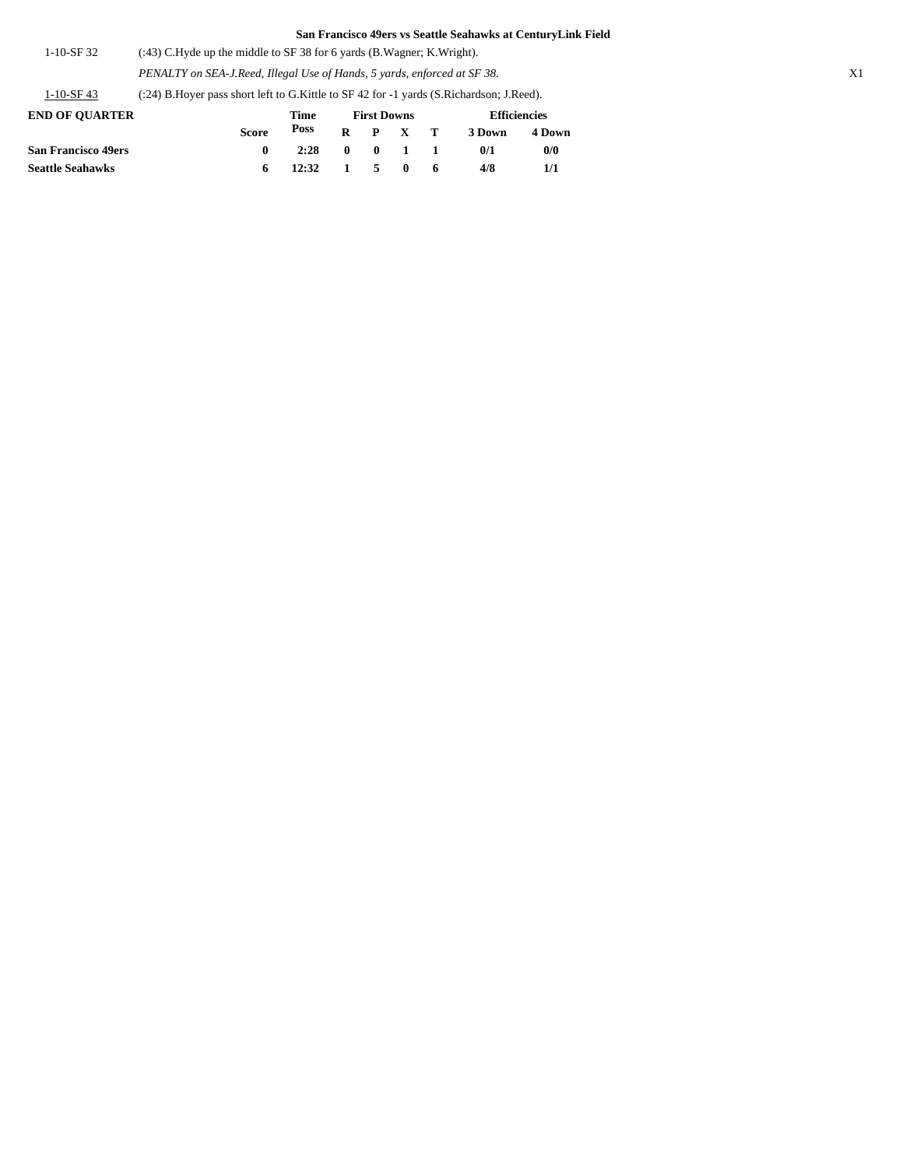| 1-10-SF 32 | $(3.43)$ C.Hyde up the middle to SF 38 for 6 yards (B.Wagner; K.Wright). |
|------------|--------------------------------------------------------------------------|
|            |                                                                          |

*PENALTY on SEA-J.Reed, Illegal Use of Hands, 5 yards, enforced at SF 38.* X1

1-10-SF 43 (:24) B.Hoyer pass short left to G.Kittle to SF 42 for -1 yards (S.Richardson; J.Reed).

| <b>END OF OUARTER</b>      |              | Time                                    |                 | <b>First Downs</b> | <b>Efficiencies</b> |        |  |
|----------------------------|--------------|-----------------------------------------|-----------------|--------------------|---------------------|--------|--|
|                            | <b>Score</b> | Poss                                    | $R$ $P$ $X$ $T$ |                    | 3 Down              | 4 Down |  |
| <b>San Francisco 49ers</b> |              | 2:28                                    |                 | $0 \t 0 \t 1 \t 1$ | 0/1                 | 0/0    |  |
| <b>Seattle Seahawks</b>    |              | $12:32 \quad 1 \quad 5 \quad 0 \quad 6$ |                 |                    | 4/8                 |        |  |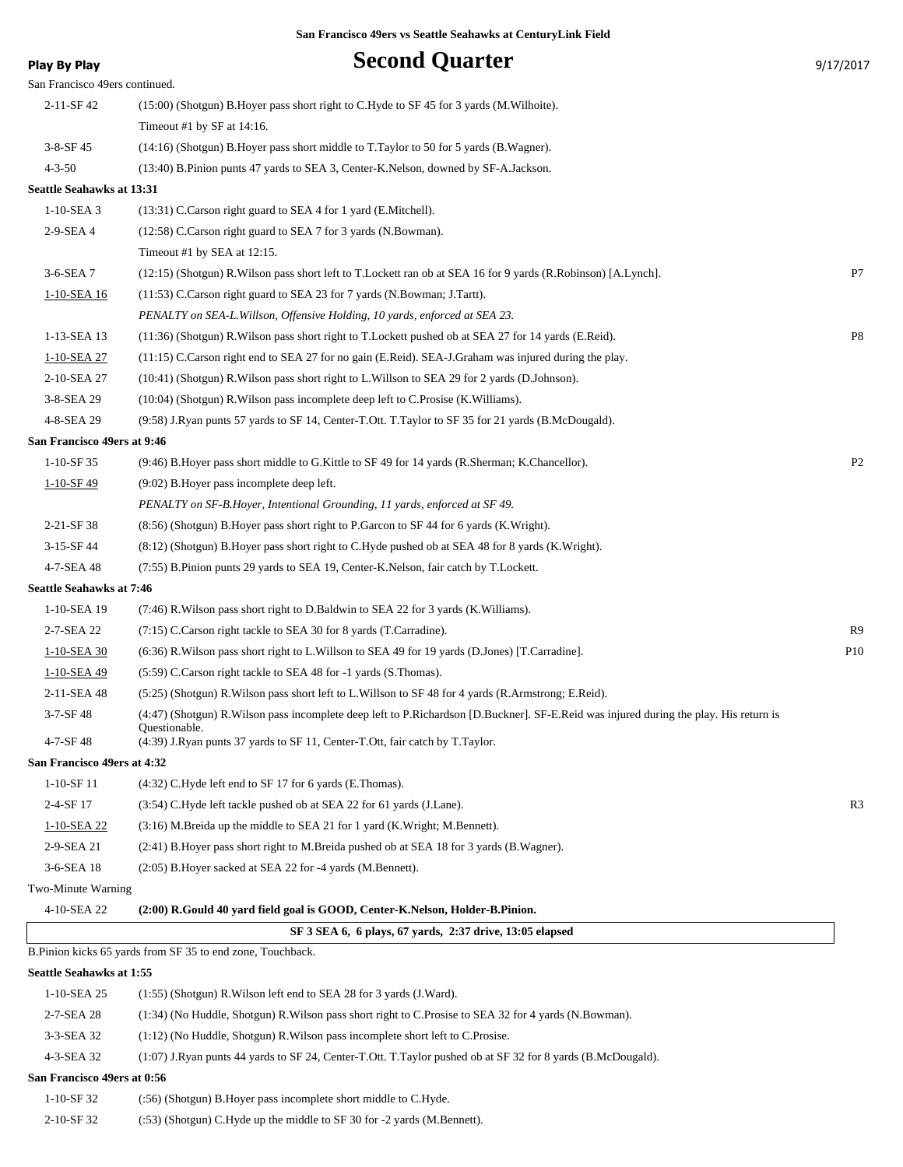| <b>Play By Play</b>             | <b>Second Quarter</b>                                                                                                                                                                                                                      | 9/17/2017      |
|---------------------------------|--------------------------------------------------------------------------------------------------------------------------------------------------------------------------------------------------------------------------------------------|----------------|
| San Francisco 49ers continued.  |                                                                                                                                                                                                                                            |                |
| 2-11-SF 42                      | (15:00) (Shotgun) B. Hoyer pass short right to C. Hyde to SF 45 for 3 yards (M. Wilhoite).                                                                                                                                                 |                |
|                                 | Timeout #1 by SF at 14:16.                                                                                                                                                                                                                 |                |
| $3-8-SF$ 45                     | (14:16) (Shotgun) B. Hoyer pass short middle to T. Taylor to 50 for 5 yards (B. Wagner).                                                                                                                                                   |                |
| $4 - 3 - 50$                    | (13:40) B.Pinion punts 47 yards to SEA 3, Center-K.Nelson, downed by SF-A.Jackson.                                                                                                                                                         |                |
| Seattle Seahawks at 13:31       |                                                                                                                                                                                                                                            |                |
| $1-10-SEA$ 3                    | (13:31) C.Carson right guard to SEA 4 for 1 yard (E.Mitchell).                                                                                                                                                                             |                |
| 2-9-SEA 4                       | (12:58) C.Carson right guard to SEA 7 for 3 yards (N.Bowman).                                                                                                                                                                              |                |
|                                 | Timeout #1 by SEA at 12:15.                                                                                                                                                                                                                |                |
| 3-6-SEA 7                       | (12:15) (Shotgun) R. Wilson pass short left to T. Lockett ran ob at SEA 16 for 9 yards (R. Robinson) [A. Lynch].                                                                                                                           | P7             |
| 1-10-SEA 16                     | (11:53) C.Carson right guard to SEA 23 for 7 yards (N.Bowman; J.Tartt).                                                                                                                                                                    |                |
|                                 | PENALTY on SEA-L. Willson, Offensive Holding, 10 yards, enforced at SEA 23.                                                                                                                                                                |                |
| 1-13-SEA 13                     | (11:36) (Shotgun) R. Wilson pass short right to T. Lockett pushed ob at SEA 27 for 14 yards (E. Reid).                                                                                                                                     | P <sub>8</sub> |
| 1-10-SEA 27                     | $(11:15)$ C.Carson right end to SEA 27 for no gain (E.Reid). SEA-J.Graham was injured during the play.                                                                                                                                     |                |
| 2-10-SEA 27                     | (10:41) (Shotgun) R. Wilson pass short right to L. Willson to SEA 29 for 2 yards (D. Johnson).                                                                                                                                             |                |
| 3-8-SEA 29                      | (10:04) (Shotgun) R. Wilson pass incomplete deep left to C. Prosise (K. Williams).                                                                                                                                                         |                |
| 4-8-SEA 29                      | (9:58) J.Ryan punts 57 yards to SF 14, Center-T.Ott. T.Taylor to SF 35 for 21 yards (B.McDougald).                                                                                                                                         |                |
| San Francisco 49ers at 9:46     |                                                                                                                                                                                                                                            |                |
| $1-10-SF35$                     | (9:46) B. Hoyer pass short middle to G. Kittle to SF 49 for 14 yards (R. Sherman; K. Chancellor).                                                                                                                                          | P <sub>2</sub> |
| 1-10-SF 49                      | (9:02) B. Hoyer pass incomplete deep left.                                                                                                                                                                                                 |                |
|                                 | PENALTY on SF-B.Hoyer, Intentional Grounding, 11 yards, enforced at SF 49.                                                                                                                                                                 |                |
| 2-21-SF 38                      | (8:56) (Shotgun) B.Hoyer pass short right to P.Garcon to SF 44 for 6 yards (K.Wright).                                                                                                                                                     |                |
| 3-15-SF 44                      | (8:12) (Shotgun) B.Hoyer pass short right to C.Hyde pushed ob at SEA 48 for 8 yards (K.Wright).                                                                                                                                            |                |
| 4-7-SEA 48                      | (7:55) B.Pinion punts 29 yards to SEA 19, Center-K.Nelson, fair catch by T.Lockett.                                                                                                                                                        |                |
| <b>Seattle Seahawks at 7:46</b> |                                                                                                                                                                                                                                            |                |
| 1-10-SEA 19                     | (7:46) R. Wilson pass short right to D. Baldwin to SEA 22 for 3 yards (K. Williams).                                                                                                                                                       |                |
| 2-7-SEA 22                      | (7:15) C.Carson right tackle to SEA 30 for 8 yards (T.Carradine).                                                                                                                                                                          | R9             |
| 1-10-SEA 30                     | $(6:36)$ R. Wilson pass short right to L. Willson to SEA 49 for 19 yards (D. Jones) [T. Carradine].                                                                                                                                        | P10            |
| 1-10-SEA 49                     | (5:59) C.Carson right tackle to SEA 48 for -1 yards (S.Thomas).                                                                                                                                                                            |                |
| 2-11-SEA 48                     | (5:25) (Shotgun) R. Wilson pass short left to L. Willson to SF 48 for 4 yards (R. Armstrong; E. Reid).                                                                                                                                     |                |
|                                 |                                                                                                                                                                                                                                            |                |
| 3-7-SF 48<br>4-7-SF 48          | (4:47) (Shotgun) R. Wilson pass incomplete deep left to P. Richardson [D. Buckner]. SF-E. Reid was injured during the play. His return is<br>Questionable.<br>(4:39) J.Ryan punts 37 yards to SF 11, Center-T.Ott, fair catch by T.Taylor. |                |
| San Francisco 49ers at 4:32     |                                                                                                                                                                                                                                            |                |
| $1-10-SF11$                     | (4:32) C.Hyde left end to SF 17 for 6 yards (E.Thomas).                                                                                                                                                                                    |                |
| 2-4-SF 17                       | (3:54) C.Hyde left tackle pushed ob at SEA 22 for 61 yards (J.Lane).                                                                                                                                                                       | R <sub>3</sub> |
| $1-10-SEA$ 22                   | (3:16) M.Breida up the middle to SEA 21 for 1 yard (K.Wright; M.Bennett).                                                                                                                                                                  |                |
| 2-9-SEA 21                      | (2:41) B. Hoyer pass short right to M. Breida pushed ob at SEA 18 for 3 yards (B. Wagner).                                                                                                                                                 |                |
| 3-6-SEA 18                      | (2:05) B.Hoyer sacked at SEA 22 for -4 yards (M.Bennett).                                                                                                                                                                                  |                |
| Two-Minute Warning              |                                                                                                                                                                                                                                            |                |
| 4-10-SEA 22                     | (2:00) R.Gould 40 yard field goal is GOOD, Center-K.Nelson, Holder-B.Pinion.                                                                                                                                                               |                |
|                                 | SF 3 SEA 6, 6 plays, 67 yards, 2:37 drive, 13:05 elapsed                                                                                                                                                                                   |                |
|                                 | B. Pinion kicks 65 yards from SF 35 to end zone, Touchback.                                                                                                                                                                                |                |
| Seattle Seahawks at 1:55        |                                                                                                                                                                                                                                            |                |
| 1-10-SEA 25                     | (1:55) (Shotgun) R. Wilson left end to SEA 28 for 3 yards (J. Ward).                                                                                                                                                                       |                |
| 2-7-SEA 28                      | (1:34) (No Huddle, Shotgun) R. Wilson pass short right to C. Prosise to SEA 32 for 4 yards (N. Bowman).                                                                                                                                    |                |
| 3-3-SEA 32                      | (1:12) (No Huddle, Shotgun) R. Wilson pass incomplete short left to C. Prosise.                                                                                                                                                            |                |
| 4-3-SEA 32                      | (1:07) J.Ryan punts 44 yards to SF 24, Center-T.Ott. T.Taylor pushed ob at SF 32 for 8 yards (B.McDougald).                                                                                                                                |                |
| San Francisco 49ers at 0:56     |                                                                                                                                                                                                                                            |                |
| 1-10-SF 32                      | (:56) (Shotgun) B. Hover pass incomplete short middle to C. Hyde.                                                                                                                                                                          |                |
| 2-10-SF 32                      | (:53) (Shotgun) C.Hyde up the middle to SF 30 for -2 yards (M.Bennett).                                                                                                                                                                    |                |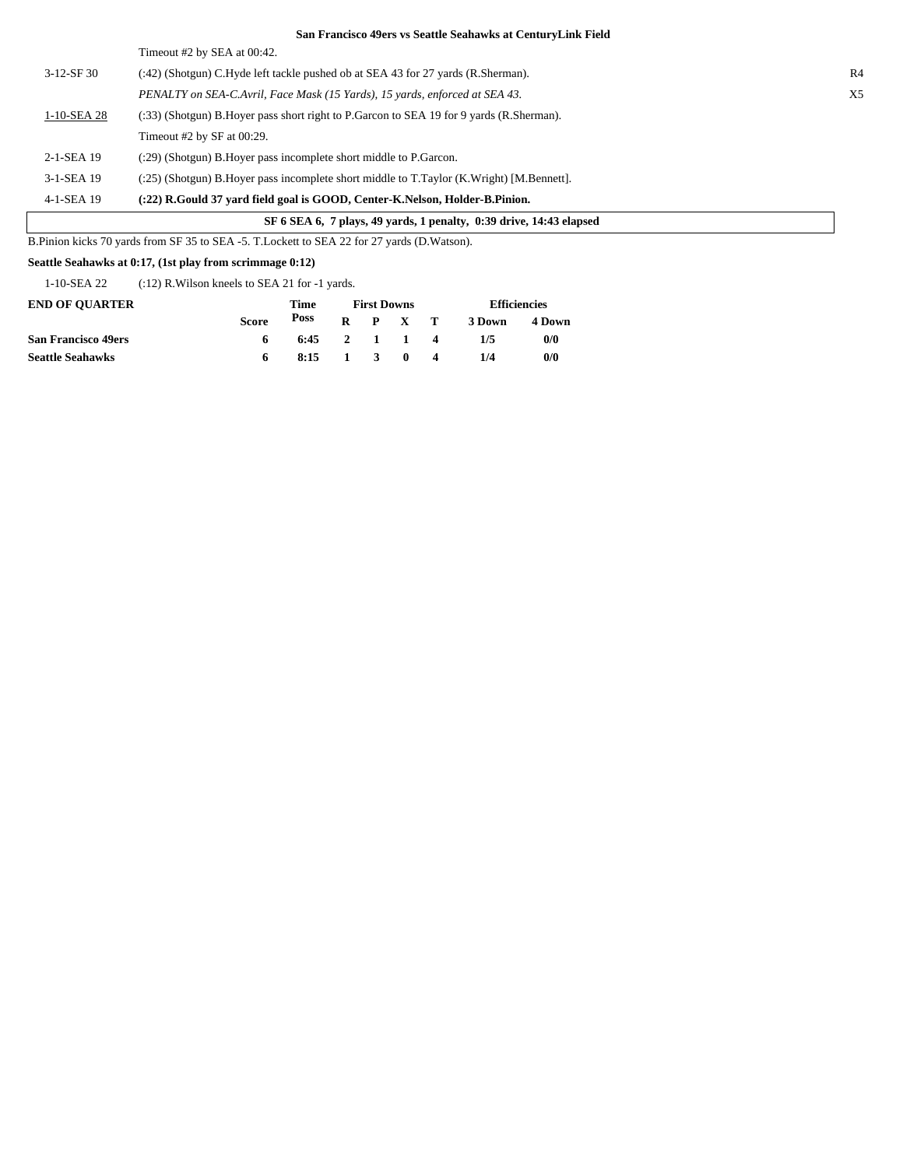| SF 6 SEA 6, 7 plays, 49 yards, 1 penalty, 0:39 drive, 14:43 elapsed |                                                                                            |                |  |  |  |
|---------------------------------------------------------------------|--------------------------------------------------------------------------------------------|----------------|--|--|--|
| 4-1-SEA 19                                                          | (:22) R.Gould 37 yard field goal is GOOD, Center-K.Nelson, Holder-B.Pinion.                |                |  |  |  |
| 3-1-SEA 19                                                          | (:25) (Shotgun) B.Hover pass incomplete short middle to T.Taylor (K.Wright) [M.Bennett].   |                |  |  |  |
| 2-1-SEA 19                                                          | (:29) (Shotgun) B.Hover pass incomplete short middle to P.Garcon.                          |                |  |  |  |
|                                                                     | Timeout $#2$ by SF at 00:29.                                                               |                |  |  |  |
| 1-10-SEA 28                                                         | (:33) (Shotgun) B. Hover pass short right to P. Garcon to SEA 19 for 9 yards (R. Sherman). |                |  |  |  |
|                                                                     | PENALTY on SEA-C.Avril, Face Mask (15 Yards), 15 yards, enforced at SEA 43.                | X <sub>5</sub> |  |  |  |
| $3-12-SF30$                                                         | (:42) (Shotgun) C.Hyde left tackle pushed ob at SEA 43 for 27 yards (R.Sherman).           | R <sub>4</sub> |  |  |  |
|                                                                     | Timeout #2 by SEA at 00:42.                                                                |                |  |  |  |

B.Pinion kicks 70 yards from SF 35 to SEA -5. T.Lockett to SEA 22 for 27 yards (D.Watson).

## **Seattle Seahawks at 0:17, (1st play from scrimmage 0:12)**

1-10-SEA 22 (:12) R.Wilson kneels to SEA 21 for -1 yards.

| <b>END OF OUARTER</b>      |              | Time           | <b>First Downs</b> |  |                 |  | <b>Efficiencies</b> |        |
|----------------------------|--------------|----------------|--------------------|--|-----------------|--|---------------------|--------|
|                            | <b>Score</b> | Poss           |                    |  | $R$ $P$ $X$ $T$ |  | 3 Down              | 4 Down |
| <b>San Francisco 49ers</b> |              | $6:45$ 2 1 1 4 |                    |  |                 |  | 1/5                 | 0/0    |
| <b>Seattle Seahawks</b>    |              | 8:15           | 1 3 0 4            |  |                 |  | 1/4                 | 0/0    |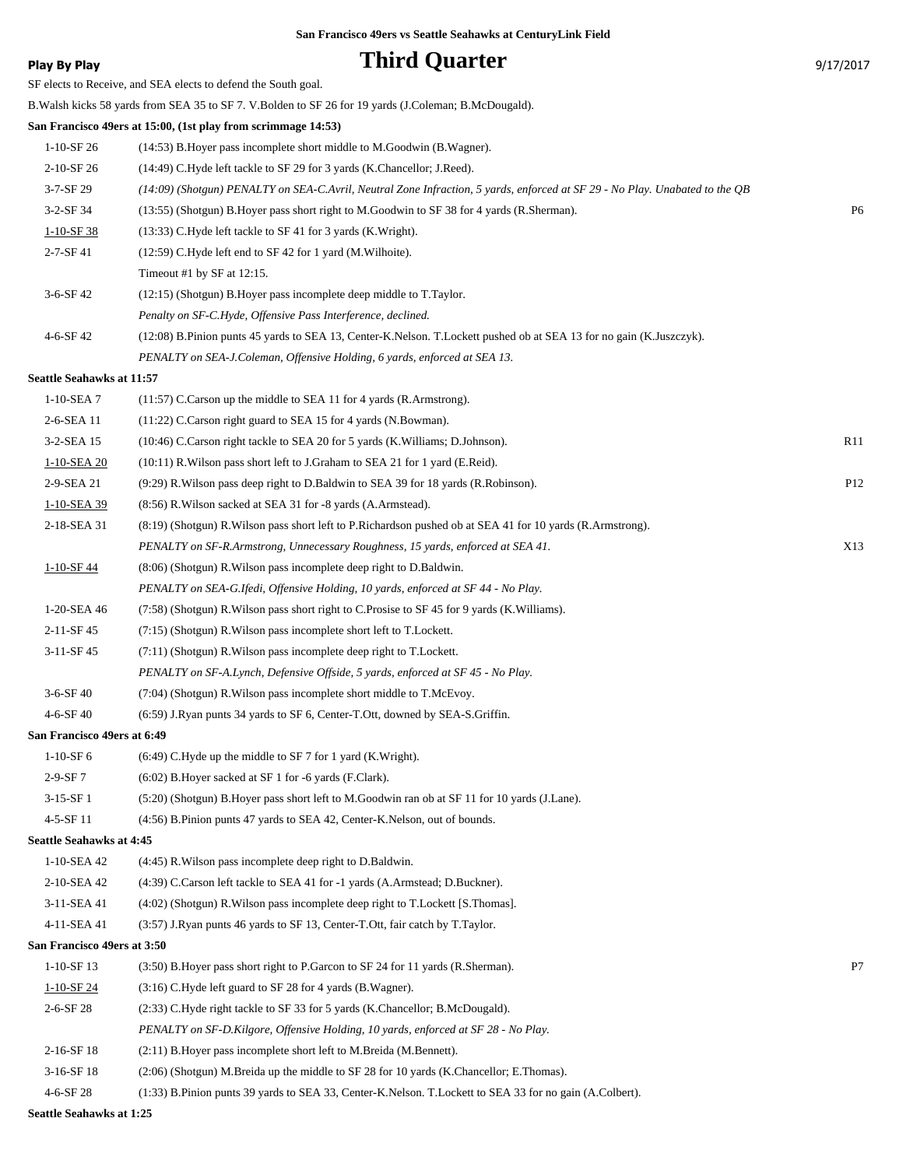## **Play By Play Play Play Play Third Quarter Play By Play 9/17/2017**

| . .uy vyuy                      |                                                                                                                             | ر2011 <i>- اد</i> |
|---------------------------------|-----------------------------------------------------------------------------------------------------------------------------|-------------------|
|                                 | SF elects to Receive, and SEA elects to defend the South goal.                                                              |                   |
|                                 | B. Walsh kicks 58 yards from SEA 35 to SF 7. V. Bolden to SF 26 for 19 yards (J. Coleman; B. McDougald).                    |                   |
|                                 | San Francisco 49ers at 15:00, (1st play from scrimmage 14:53)                                                               |                   |
| $1-10-SF26$                     | (14:53) B. Hoyer pass incomplete short middle to M. Goodwin (B. Wagner).                                                    |                   |
| 2-10-SF 26                      | (14:49) C.Hyde left tackle to SF 29 for 3 yards (K.Chancellor; J.Reed).                                                     |                   |
| $3 - 7 - SF$ 29                 | (14:09) (Shotgun) PENALTY on SEA-C.Avril, Neutral Zone Infraction, 5 yards, enforced at SF 29 - No Play. Unabated to the QB |                   |
| 3-2-SF 34                       | (13:55) (Shotgun) B.Hoyer pass short right to M.Goodwin to SF 38 for 4 yards (R.Sherman).                                   | P <sub>6</sub>    |
| $1-10-SF$ 38                    | (13:33) C.Hyde left tackle to SF 41 for 3 yards (K.Wright).                                                                 |                   |
| $2 - 7 - SF 41$                 | (12:59) C.Hyde left end to SF 42 for 1 yard (M.Wilhoite).                                                                   |                   |
|                                 | Timeout #1 by SF at 12:15.                                                                                                  |                   |
| 3-6-SF 42                       | (12:15) (Shotgun) B. Hoyer pass incomplete deep middle to T. Taylor.                                                        |                   |
|                                 | Penalty on SF-C.Hyde, Offensive Pass Interference, declined.                                                                |                   |
| 4-6-SF 42                       | (12:08) B.Pinion punts 45 yards to SEA 13, Center-K.Nelson. T.Lockett pushed ob at SEA 13 for no gain (K.Juszczyk).         |                   |
|                                 | PENALTY on SEA-J.Coleman, Offensive Holding, 6 yards, enforced at SEA 13.                                                   |                   |
| Seattle Seahawks at 11:57       |                                                                                                                             |                   |
| $1-10-SEA$ 7                    | $(11:57)$ C.Carson up the middle to SEA 11 for 4 yards (R.Armstrong).                                                       |                   |
| 2-6-SEA 11                      | (11:22) C.Carson right guard to SEA 15 for 4 yards (N.Bowman).                                                              |                   |
| 3-2-SEA 15                      | (10:46) C.Carson right tackle to SEA 20 for 5 yards (K.Williams; D.Johnson).                                                | R11               |
| 1-10-SEA 20                     | (10:11) R. Wilson pass short left to J. Graham to SEA 21 for 1 yard (E. Reid).                                              |                   |
| 2-9-SEA 21                      | (9:29) R. Wilson pass deep right to D. Baldwin to SEA 39 for 18 yards (R. Robinson).                                        | P <sub>12</sub>   |
| 1-10-SEA 39                     | (8:56) R. Wilson sacked at SEA 31 for -8 yards (A. Armstead).                                                               |                   |
| 2-18-SEA 31                     | (8:19) (Shotgun) R. Wilson pass short left to P. Richardson pushed ob at SEA 41 for 10 yards (R. Armstrong).                |                   |
|                                 | PENALTY on SF-R.Armstrong, Unnecessary Roughness, 15 yards, enforced at SEA 41.                                             | X13               |
| $1-10-SF44$                     | (8:06) (Shotgun) R. Wilson pass incomplete deep right to D. Baldwin.                                                        |                   |
|                                 | PENALTY on SEA-G.Ifedi, Offensive Holding, 10 yards, enforced at SF 44 - No Play.                                           |                   |
| 1-20-SEA 46                     | (7:58) (Shotgun) R. Wilson pass short right to C. Prosise to SF 45 for 9 yards (K. Williams).                               |                   |
| $2-11-SF45$                     | (7:15) (Shotgun) R. Wilson pass incomplete short left to T. Lockett.                                                        |                   |
| 3-11-SF 45                      | (7:11) (Shotgun) R. Wilson pass incomplete deep right to T. Lockett.                                                        |                   |
|                                 | PENALTY on SF-A.Lynch, Defensive Offside, 5 yards, enforced at SF 45 - No Play.                                             |                   |
| $3-6-SF40$                      | (7:04) (Shotgun) R. Wilson pass incomplete short middle to T. McEvoy.                                                       |                   |
| 4-6-SF 40                       | (6:59) J.Ryan punts 34 yards to SF 6, Center-T.Ott, downed by SEA-S.Griffin.                                                |                   |
| San Francisco 49ers at 6:49     |                                                                                                                             |                   |
| $1-10-SF6$                      | $(6:49)$ C. Hyde up the middle to SF 7 for 1 yard (K. Wright).                                                              |                   |
| $2-9-SF7$                       | (6:02) B. Hoyer sacked at SF 1 for -6 yards (F.Clark).                                                                      |                   |
| $3-15-SF1$                      | (5:20) (Shotgun) B.Hoyer pass short left to M.Goodwin ran ob at SF 11 for 10 yards (J.Lane).                                |                   |
| 4-5-SF 11                       |                                                                                                                             |                   |
| <b>Seattle Seahawks at 4:45</b> | (4:56) B. Pinion punts 47 yards to SEA 42, Center-K. Nelson, out of bounds.                                                 |                   |
| 1-10-SEA 42                     | (4:45) R. Wilson pass incomplete deep right to D. Baldwin.                                                                  |                   |
| 2-10-SEA 42                     | (4:39) C.Carson left tackle to SEA 41 for -1 yards (A.Armstead; D.Buckner).                                                 |                   |
| 3-11-SEA 41                     | (4:02) (Shotgun) R. Wilson pass incomplete deep right to T. Lockett [S. Thomas].                                            |                   |
|                                 |                                                                                                                             |                   |
| 4-11-SEA 41                     | (3:57) J.Ryan punts 46 yards to SF 13, Center-T.Ott, fair catch by T.Taylor.                                                |                   |
| San Francisco 49ers at 3:50     |                                                                                                                             |                   |
| 1-10-SF 13                      | (3:50) B. Hoyer pass short right to P. Garcon to SF 24 for 11 yards (R. Sherman).                                           | P7                |
| $1 - 10 - SF$ 24                | (3:16) C.Hyde left guard to SF 28 for 4 yards (B.Wagner).                                                                   |                   |
| $2 - 6 - SF 28$                 | (2:33) C.Hyde right tackle to SF 33 for 5 yards (K.Chancellor; B.McDougald).                                                |                   |
|                                 | PENALTY on SF-D.Kilgore, Offensive Holding, 10 yards, enforced at SF 28 - No Play.                                          |                   |
| 2-16-SF 18                      | (2:11) B. Hoyer pass incomplete short left to M. Breida (M. Bennett).                                                       |                   |
| 3-16-SF 18                      | (2:06) (Shotgun) M.Breida up the middle to SF 28 for 10 yards (K.Chancellor; E.Thomas).                                     |                   |
| 4-6-SF 28                       | (1:33) B.Pinion punts 39 yards to SEA 33, Center-K.Nelson. T.Lockett to SEA 33 for no gain (A.Colbert).                     |                   |

**Seattle Seahawks at 1:25**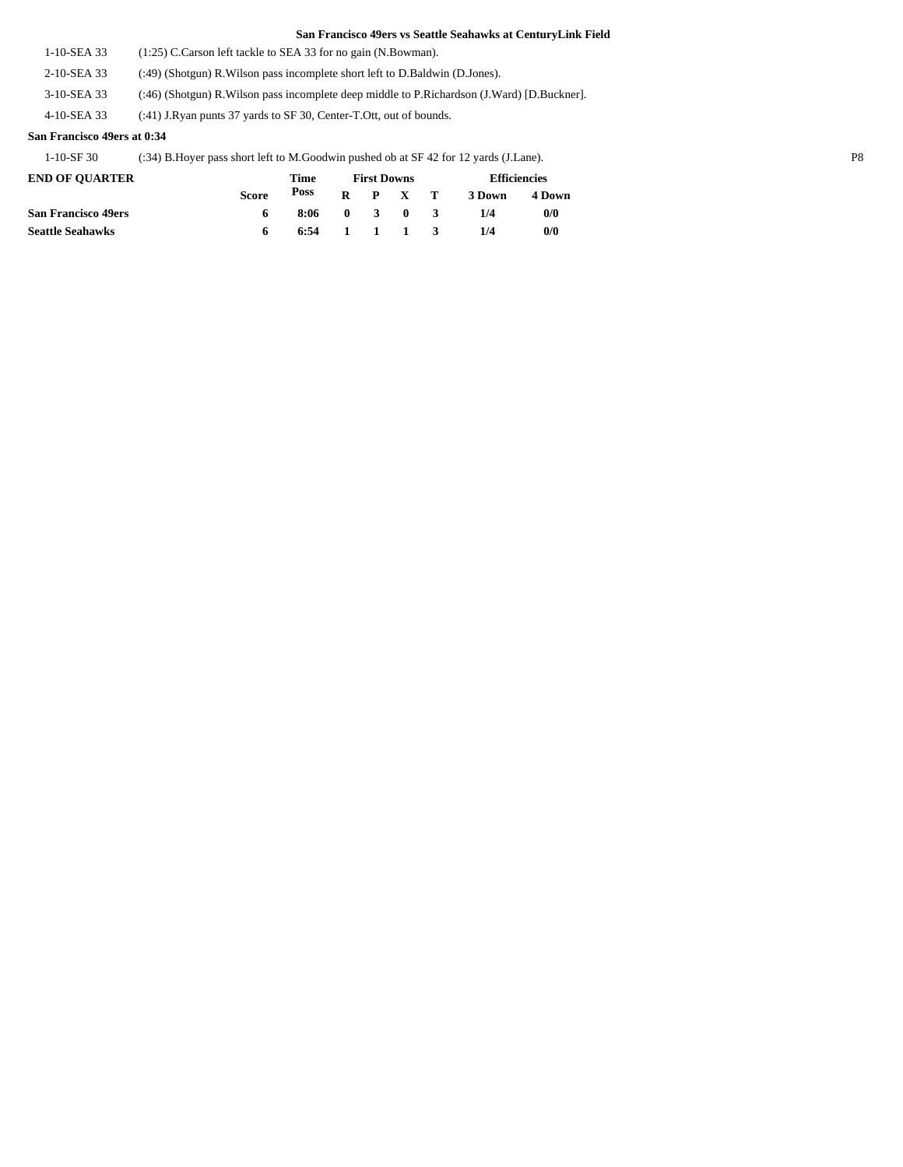1-10-SEA 33 (1:25) C.Carson left tackle to SEA 33 for no gain (N.Bowman).

2-10-SEA 33 (:49) (Shotgun) R.Wilson pass incomplete short left to D.Baldwin (D.Jones).

3-10-SEA 33 (:46) (Shotgun) R.Wilson pass incomplete deep middle to P.Richardson (J.Ward) [D.Buckner].

4-10-SEA 33 (:41) J.Ryan punts 37 yards to SF 30, Center-T.Ott, out of bounds.

## **San Francisco 49ers at 0:34**

1-10-SF 30 (:34) B.Hoyer pass short left to M.Goodwin pushed ob at SF 42 for 12 yards (J.Lane). P8

| <b>END OF OUARTER</b>      |              | Time           | <b>First Downs</b> |                                            |         |                         | <b>Efficiencies</b> |        |  |
|----------------------------|--------------|----------------|--------------------|--------------------------------------------|---------|-------------------------|---------------------|--------|--|
|                            | <b>Score</b> |                |                    |                                            | R P X T |                         | 3 Down              | 4 Down |  |
| <b>San Francisco 49ers</b> | 6            | 8:06           |                    | $\begin{array}{ccc} 0 & 3 & 0 \end{array}$ |         | $\overline{\mathbf{3}}$ | 1/4                 | 0/0    |  |
| <b>Seattle Seahawks</b>    |              | $6:54$ 1 1 1 3 |                    |                                            |         |                         | 1/4                 | 0/0    |  |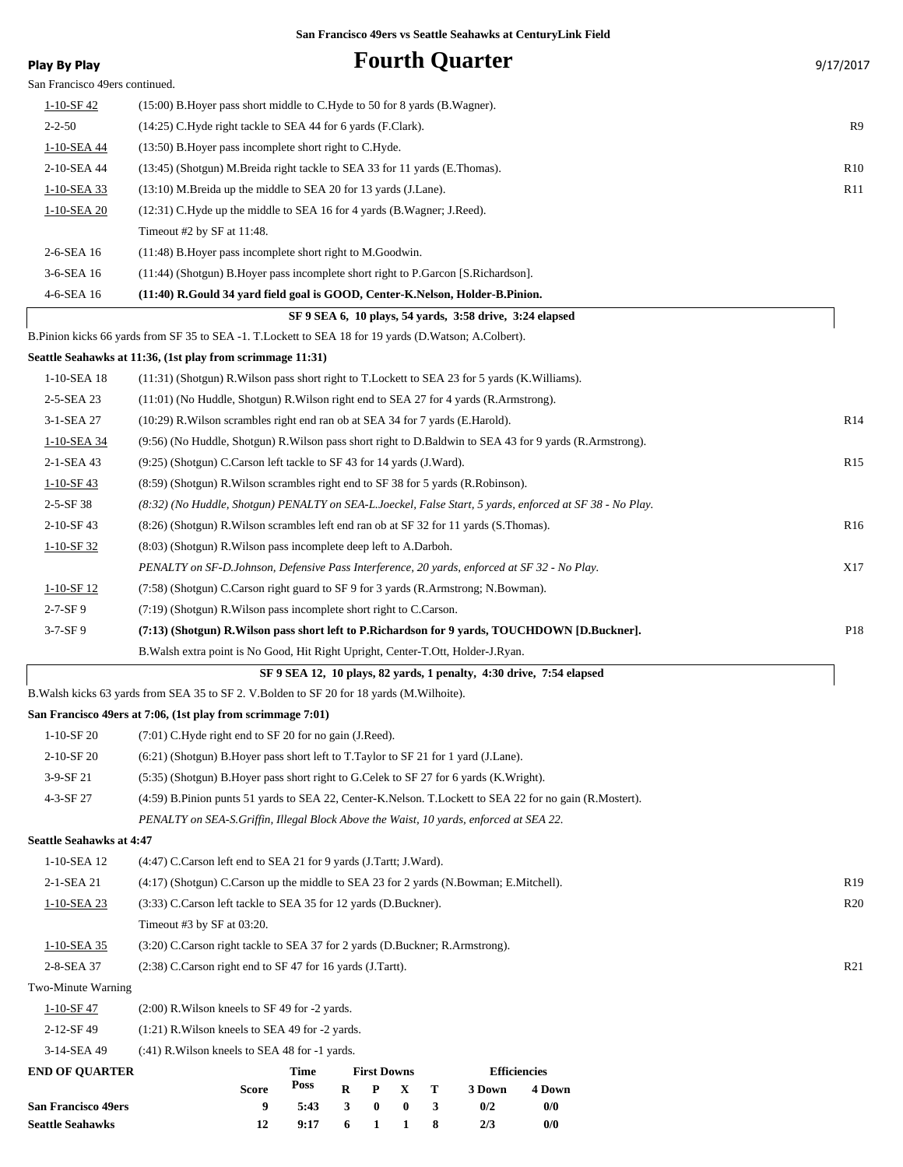| <b>Play By Play</b>             | <b>Fourth Quarter</b>                                                                                      | 9/17/2017       |  |  |  |  |
|---------------------------------|------------------------------------------------------------------------------------------------------------|-----------------|--|--|--|--|
| San Francisco 49ers continued.  |                                                                                                            |                 |  |  |  |  |
| $1 - 10 - SF - 42$              | (15:00) B. Hoyer pass short middle to C. Hyde to 50 for 8 yards (B. Wagner).                               |                 |  |  |  |  |
| $2 - 2 - 50$                    | (14:25) C.Hyde right tackle to SEA 44 for 6 yards (F.Clark).                                               | R9              |  |  |  |  |
| 1-10-SEA 44                     | (13:50) B. Hoyer pass incomplete short right to C. Hyde.                                                   |                 |  |  |  |  |
| 2-10-SEA 44                     | (13:45) (Shotgun) M.Breida right tackle to SEA 33 for 11 yards (E.Thomas).                                 | R <sub>10</sub> |  |  |  |  |
| 1-10-SEA 33                     | (13:10) M.Breida up the middle to SEA 20 for 13 yards (J.Lane).                                            | R11             |  |  |  |  |
| 1-10-SEA 20                     | (12:31) C.Hyde up the middle to SEA 16 for 4 yards (B.Wagner; J.Reed).                                     |                 |  |  |  |  |
|                                 | Timeout #2 by SF at 11:48.                                                                                 |                 |  |  |  |  |
| 2-6-SEA 16                      | $(11:48)$ B. Hoyer pass incomplete short right to M. Goodwin.                                              |                 |  |  |  |  |
| 3-6-SEA 16                      | (11:44) (Shotgun) B. Hoyer pass incomplete short right to P. Garcon [S. Richardson].                       |                 |  |  |  |  |
| 4-6-SEA 16                      | (11:40) R.Gould 34 yard field goal is GOOD, Center-K.Nelson, Holder-B.Pinion.                              |                 |  |  |  |  |
|                                 | SF 9 SEA 6, 10 plays, 54 yards, 3:58 drive, 3:24 elapsed                                                   |                 |  |  |  |  |
|                                 | B.Pinion kicks 66 yards from SF 35 to SEA -1. T.Lockett to SEA 18 for 19 yards (D.Watson; A.Colbert).      |                 |  |  |  |  |
|                                 | Seattle Seahawks at 11:36, (1st play from scrimmage 11:31)                                                 |                 |  |  |  |  |
| 1-10-SEA 18                     | $(11:31)$ (Shotgun) R. Wilson pass short right to T. Lockett to SEA 23 for 5 yards (K. Williams).          |                 |  |  |  |  |
| 2-5-SEA 23                      | (11:01) (No Huddle, Shotgun) R. Wilson right end to SEA 27 for 4 yards (R. Armstrong).                     |                 |  |  |  |  |
| 3-1-SEA 27                      | (10:29) R. Wilson scrambles right end ran ob at SEA 34 for 7 yards (E. Harold).                            | R14             |  |  |  |  |
| 1-10-SEA 34                     | (9.56) (No Huddle, Shotgun) R. Wilson pass short right to D. Baldwin to SEA 43 for 9 yards (R. Armstrong). |                 |  |  |  |  |
| 2-1-SEA 43                      | (9:25) (Shotgun) C.Carson left tackle to SF 43 for 14 yards (J.Ward).                                      | R <sub>15</sub> |  |  |  |  |
| $1 - 10 - SF$ 43                | (8.59) (Shotgun) R. Wilson scrambles right end to SF 38 for 5 yards (R. Robinson).                         |                 |  |  |  |  |
| $2 - 5 - SF$ 38                 | (8:32) (No Huddle, Shotgun) PENALTY on SEA-L.Joeckel, False Start, 5 yards, enforced at SF 38 - No Play.   |                 |  |  |  |  |
| $2-10-SF$ 43                    | (8.26) (Shotgun) R. Wilson scrambles left end ran ob at SF 32 for 11 yards (S. Thomas).                    | R <sub>16</sub> |  |  |  |  |
| $1-10-SF$ 32                    | (8:03) (Shotgun) R. Wilson pass incomplete deep left to A. Darboh.                                         |                 |  |  |  |  |
|                                 | PENALTY on SF-D.Johnson, Defensive Pass Interference, 20 yards, enforced at SF 32 - No Play.               | X17             |  |  |  |  |
| $1-10-SF$ 12                    | (7.58) (Shotgun) C.Carson right guard to SF 9 for 3 yards (R.Armstrong; N.Bowman).                         |                 |  |  |  |  |
| $2 - 7 - SF9$                   | (7:19) (Shotgun) R. Wilson pass incomplete short right to C. Carson.                                       |                 |  |  |  |  |
| $3 - 7 - SF9$                   | (7:13) (Shotgun) R. Wilson pass short left to P. Richardson for 9 yards, TOUCHDOWN [D. Buckner].           | P18             |  |  |  |  |
|                                 | B. Walsh extra point is No Good, Hit Right Upright, Center-T.Ott, Holder-J. Ryan.                          |                 |  |  |  |  |
|                                 | SF 9 SEA 12, 10 plays, 82 yards, 1 penalty, 4:30 drive, 7:54 elapsed                                       |                 |  |  |  |  |
|                                 | B. Walsh kicks 63 yards from SEA 35 to SF 2. V. Bolden to SF 20 for 18 yards (M. Wilhoite).                |                 |  |  |  |  |
|                                 | San Francisco 49ers at 7:06, (1st play from scrimmage 7:01)                                                |                 |  |  |  |  |
| $1-10-SF$ 20                    | (7:01) C.Hyde right end to SF 20 for no gain (J.Reed).                                                     |                 |  |  |  |  |
| $2-10-SF$ 20                    | $(6:21)$ (Shotgun) B. Hoyer pass short left to T. Taylor to SF 21 for 1 yard (J. Lane).                    |                 |  |  |  |  |
| 3-9-SF 21                       | (5:35) (Shotgun) B.Hoyer pass short right to G.Celek to SF 27 for 6 yards (K.Wright).                      |                 |  |  |  |  |
| 4-3-SF 27                       | (4:59) B.Pinion punts 51 yards to SEA 22, Center-K.Nelson. T.Lockett to SEA 22 for no gain (R.Mostert).    |                 |  |  |  |  |
|                                 | PENALTY on SEA-S.Griffin, Illegal Block Above the Waist, 10 yards, enforced at SEA 22.                     |                 |  |  |  |  |
| <b>Seattle Seahawks at 4:47</b> |                                                                                                            |                 |  |  |  |  |
| 1-10-SEA 12                     | (4:47) C.Carson left end to SEA 21 for 9 yards (J.Tartt; J.Ward).                                          |                 |  |  |  |  |
| 2-1-SEA 21                      | (4:17) (Shotgun) C.Carson up the middle to SEA 23 for 2 yards (N.Bowman; E.Mitchell).                      | R <sub>19</sub> |  |  |  |  |
| 1-10-SEA 23                     | (3:33) C.Carson left tackle to SEA 35 for 12 yards (D.Buckner).<br>R20                                     |                 |  |  |  |  |
|                                 | Timeout #3 by SF at $03:20$ .                                                                              |                 |  |  |  |  |
| $1-10-SEA$ 35                   | (3:20) C.Carson right tackle to SEA 37 for 2 yards (D.Buckner; R.Armstrong).                               |                 |  |  |  |  |
| 2-8-SEA 37                      | (2:38) C.Carson right end to SF 47 for 16 yards (J.Tartt).                                                 | R <sub>21</sub> |  |  |  |  |
| Two-Minute Warning              |                                                                                                            |                 |  |  |  |  |
| $1-10-SF$ 47                    | $(2:00)$ R. Wilson kneels to SF 49 for -2 yards.                                                           |                 |  |  |  |  |
| 2-12-SF 49                      | $(1:21)$ R. Wilson kneels to SEA 49 for -2 yards.                                                          |                 |  |  |  |  |
| 3-14-SEA 49                     | $(241)$ R. Wilson kneels to SEA 48 for $-1$ yards.                                                         |                 |  |  |  |  |
| <b>END OF QUARTER</b>           | <b>First Downs</b><br><b>Time</b><br><b>Efficiencies</b>                                                   |                 |  |  |  |  |
|                                 | Poss<br>R<br>P<br>$\mathbf X$<br>Score<br>Т<br>3 Down<br>4 Down                                            |                 |  |  |  |  |
| <b>San Francisco 49ers</b>      | 9<br>3<br>$\bf{0}$<br>0/0<br>5:43<br>0<br>3<br>0/2                                                         |                 |  |  |  |  |

**Seattle Seahawks 12 9:17 6 1 1 8 2/3 0/0**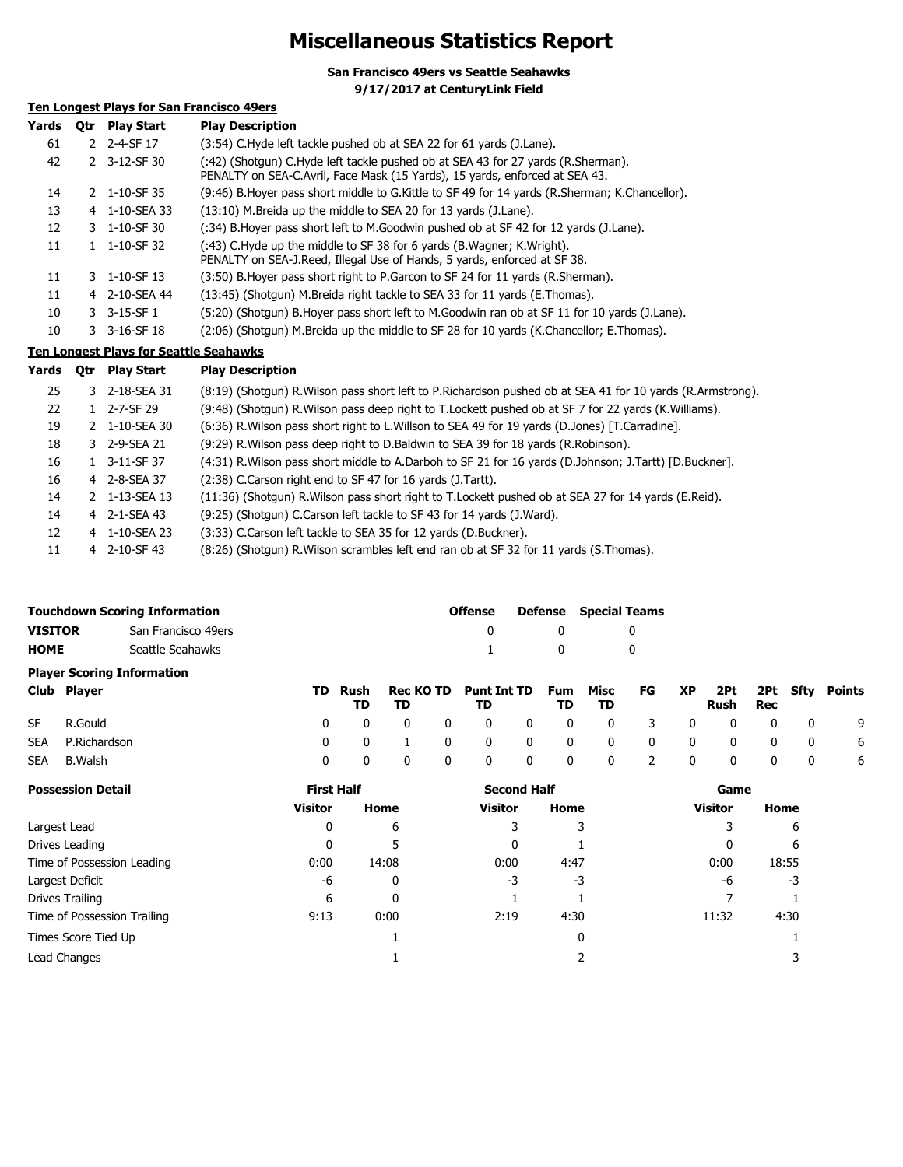# **Miscellaneous Statistics Report**

**San Francisco 49ers vs Seattle Seahawks**

**9/17/2017 at CenturyLink Field**

## **Ten Longest Plays for San Francisco 49ers**

| Yards | 0tr | <b>Play Start</b>              | <b>Play Description</b>                                                                                                                                          |
|-------|-----|--------------------------------|------------------------------------------------------------------------------------------------------------------------------------------------------------------|
| 61    |     | 2 2-4-SF 17                    | (3:54) C.Hyde left tackle pushed ob at SEA 22 for 61 yards (J.Lane).                                                                                             |
| 42    |     | 2 3-12-SF 30                   | (:42) (Shotgun) C.Hyde left tackle pushed ob at SEA 43 for 27 yards (R.Sherman).<br>PENALTY on SEA-C. Avril, Face Mask (15 Yards), 15 yards, enforced at SEA 43. |
| 14    |     | 2 1-10-SF 35                   | (9:46) B. Hoyer pass short middle to G. Kittle to SF 49 for 14 yards (R. Sherman; K. Chancellor).                                                                |
| 13    |     | 4 1-10-SEA 33                  | (13:10) M.Breida up the middle to SEA 20 for 13 yards (J.Lane).                                                                                                  |
| 12    |     | $3 \quad 1 - 10 - SF \quad 30$ | (:34) B.Hoyer pass short left to M.Goodwin pushed ob at SF 42 for 12 yards (J.Lane).                                                                             |
| 11    |     | $1 \quad 1 - 10 - SF$ 32       | (:43) C.Hyde up the middle to SF 38 for 6 yards (B.Wagner; K.Wright).<br>PENALTY on SEA-J.Reed, Illegal Use of Hands, 5 yards, enforced at SF 38.                |
| 11    |     | 3 1-10-SF 13                   | (3:50) B. Hoyer pass short right to P. Garcon to SF 24 for 11 yards (R. Sherman).                                                                                |
| 11    |     | 4 2-10-SEA 44                  | (13:45) (Shotgun) M.Breida right tackle to SEA 33 for 11 yards (E.Thomas).                                                                                       |
| 10    |     | $3 - 3 - 15 - SF1$             | (5:20) (Shotgun) B.Hoyer pass short left to M.Goodwin ran ob at SF 11 for 10 yards (J.Lane).                                                                     |
| 10    |     | $3 - 3 - 16 - SF$ 18           | (2:06) (Shotgun) M.Breida up the middle to SF 28 for 10 yards (K.Chancellor; E.Thomas).                                                                          |

## **Ten Longest Plays for Seattle Seahawks**

| Yards | 0tr | <b>Play Start</b>       | <b>Play Description</b>                                                                                      |
|-------|-----|-------------------------|--------------------------------------------------------------------------------------------------------------|
| 25    |     | 3 2-18-SEA 31           | (8:19) (Shotgun) R. Wilson pass short left to P. Richardson pushed ob at SEA 41 for 10 yards (R. Armstrong). |
| 22    |     | $1 \quad 2 - 7 - SF$ 29 | (9:48) (Shotgun) R.Wilson pass deep right to T.Lockett pushed ob at SF 7 for 22 yards (K.Williams).          |
| 19    |     | 2 1-10-SEA 30           | (6:36) R. Wilson pass short right to L. Willson to SEA 49 for 19 yards (D. Jones) [T. Carradine].            |
| 18    |     | 3 2-9-SEA 21            | (9:29) R. Wilson pass deep right to D. Baldwin to SEA 39 for 18 yards (R. Robinson).                         |
| 16    |     | $1 \quad 3-11-SF37$     | (4:31) R. Wilson pass short middle to A. Darboh to SF 21 for 16 yards (D. Johnson; J. Tartt) [D. Buckner].   |
| 16    |     | 4 2-8-SEA 37            | (2:38) C.Carson right end to SF 47 for 16 yards (J.Tartt).                                                   |
| 14    |     | 2 1-13-SEA 13           | (11:36) (Shotgun) R. Wilson pass short right to T. Lockett pushed ob at SEA 27 for 14 yards (E. Reid).       |
| 14    |     | 4 2-1-SEA 43            | (9:25) (Shotgun) C.Carson left tackle to SF 43 for 14 yards (J.Ward).                                        |
| 12    |     | 4 1-10-SEA 23           | (3:33) C.Carson left tackle to SEA 35 for 12 yards (D.Buckner).                                              |
| 11    |     | 4 2-10-SF 43            | (8:26) (Shotgun) R.Wilson scrambles left end ran ob at SF 32 for 11 yards (S.Thomas).                        |

| Touchdown Scoring Information<br><b>Defense</b> Special Teams<br>Offense |                     |  |              |  |
|--------------------------------------------------------------------------|---------------------|--|--------------|--|
| VISITOR                                                                  | San Francisco 49ers |  |              |  |
| HOME                                                                     | Seattle Seahawks    |  | $\mathbf{u}$ |  |

|            | <b>Player Scoring Information</b> |          |                          |                           |                             |   |              |                |                |              |                                     |                         |                         |                     |
|------------|-----------------------------------|----------|--------------------------|---------------------------|-----------------------------|---|--------------|----------------|----------------|--------------|-------------------------------------|-------------------------|-------------------------|---------------------|
|            | Club Player                       | TD .     | Rush                     | Rec KO TD Punt Int TD Fum |                             |   |              | Misc FG XP     |                |              |                                     |                         |                         | 2Pt 2Pt Sfty Points |
|            |                                   |          | TD.                      | TD                        | TD                          |   | TD           | TD             |                |              | Rush                                | Rec                     |                         |                     |
| <b>SF</b>  | R.Gould                           |          | $\Omega$<br>$\mathbf{0}$ | $\mathbf{0}$              | $0\qquad 0\qquad 0$         |   | $\mathbf{0}$ |                |                |              | 0 3 0 0                             | $\overline{\mathbf{0}}$ | $\overline{\mathbf{0}}$ | - 9                 |
|            | SEA P.Richardson                  |          | $\mathbf{0}$             | $0 \quad 1$               | $0\qquad 0\qquad 0\qquad 0$ |   |              |                |                |              | $0\qquad 0\qquad 0\qquad 0\qquad 0$ |                         |                         | - 6                 |
| <b>SEA</b> | B.Walsh                           | $\Omega$ | $\Omega$                 | $\overline{0}$            | $\mathbf{0}$                | 0 | $\mathbf{0}$ | $\overline{0}$ | $\overline{2}$ | $\mathbf{0}$ | 0                                   | $\Omega$                | - 0                     | 6                   |

| <b>Possession Detail</b>    | <b>First Half</b> |       | <b>Second Half</b> |      | Game           |       |  |
|-----------------------------|-------------------|-------|--------------------|------|----------------|-------|--|
|                             | Visitor           | Home  | <b>Visitor</b>     | Home | <b>Visitor</b> | Home  |  |
| Largest Lead                | 0                 | 6     |                    |      |                | 6     |  |
| Drives Leading              | 0                 |       | 0                  |      | 0              | 6     |  |
| Time of Possession Leading  | 0:00              | 14:08 | 0:00               | 4:47 | 0:00           | 18:55 |  |
| Largest Deficit             | -6                | 0     | -3                 | -3   | -6             | -3    |  |
| Drives Trailing             | 6                 | 0     |                    |      |                |       |  |
| Time of Possession Trailing | 9:13              | 0:00  | 2:19               | 4:30 | 11:32          | 4:30  |  |
| Times Score Tied Up         |                   |       |                    | 0    |                |       |  |
| Lead Changes                |                   |       |                    |      |                |       |  |